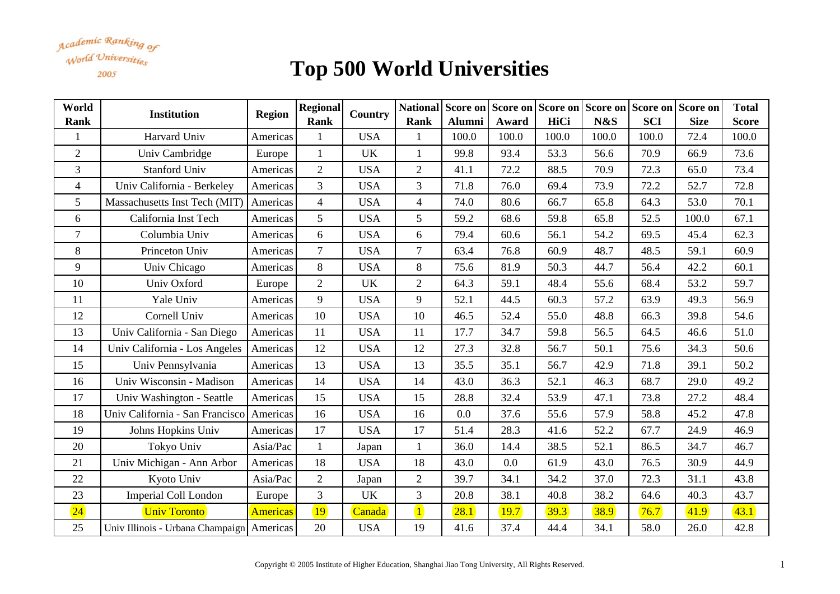Academic Ranking of World Universities 

| World<br>Rank  | <b>Institution</b>                        | <b>Region</b> | <b>Regional</b><br>Rank | Country    | Rank           | <b>Alumni</b> | Award | National Score on Score on Score on Score on Score on Score on<br>HiCi | N&S   | <b>SCI</b> | <b>Size</b> | <b>Total</b><br><b>Score</b> |
|----------------|-------------------------------------------|---------------|-------------------------|------------|----------------|---------------|-------|------------------------------------------------------------------------|-------|------------|-------------|------------------------------|
| 1              | Harvard Univ                              | Americas      | $\mathbf{1}$            | <b>USA</b> | $\mathbf{1}$   | 100.0         | 100.0 | 100.0                                                                  | 100.0 | 100.0      | 72.4        | 100.0                        |
| $\overline{2}$ | Univ Cambridge                            | Europe        | $\mathbf{1}$            | <b>UK</b>  | $\mathbf{1}$   | 99.8          | 93.4  | 53.3                                                                   | 56.6  | 70.9       | 66.9        | 73.6                         |
| 3              | <b>Stanford Univ</b>                      | Americas      | $\overline{2}$          | <b>USA</b> | $\overline{2}$ | 41.1          | 72.2  | 88.5                                                                   | 70.9  | 72.3       | 65.0        | 73.4                         |
| $\overline{4}$ | Univ California - Berkeley                | Americas      | $\overline{3}$          | <b>USA</b> | $\overline{3}$ | 71.8          | 76.0  | 69.4                                                                   | 73.9  | 72.2       | 52.7        | 72.8                         |
| 5              | Massachusetts Inst Tech (MIT)             | Americas      | $\overline{4}$          | <b>USA</b> | $\overline{4}$ | 74.0          | 80.6  | 66.7                                                                   | 65.8  | 64.3       | 53.0        | 70.1                         |
| 6              | California Inst Tech                      | Americas      | 5                       | <b>USA</b> | 5              | 59.2          | 68.6  | 59.8                                                                   | 65.8  | 52.5       | 100.0       | 67.1                         |
| $\overline{7}$ | Columbia Univ                             | Americas      | 6                       | <b>USA</b> | 6              | 79.4          | 60.6  | 56.1                                                                   | 54.2  | 69.5       | 45.4        | 62.3                         |
| $8\,$          | Princeton Univ                            | Americas      | $\overline{7}$          | <b>USA</b> | $\tau$         | 63.4          | 76.8  | 60.9                                                                   | 48.7  | 48.5       | 59.1        | 60.9                         |
| 9              | Univ Chicago                              | Americas      | 8                       | <b>USA</b> | 8              | 75.6          | 81.9  | 50.3                                                                   | 44.7  | 56.4       | 42.2        | 60.1                         |
| 10             | Univ Oxford                               | Europe        | $\overline{2}$          | <b>UK</b>  | $\overline{2}$ | 64.3          | 59.1  | 48.4                                                                   | 55.6  | 68.4       | 53.2        | 59.7                         |
| 11             | Yale Univ                                 | Americas      | 9                       | <b>USA</b> | 9              | 52.1          | 44.5  | 60.3                                                                   | 57.2  | 63.9       | 49.3        | 56.9                         |
| 12             | Cornell Univ                              | Americas      | 10                      | <b>USA</b> | 10             | 46.5          | 52.4  | 55.0                                                                   | 48.8  | 66.3       | 39.8        | 54.6                         |
| 13             | Univ California - San Diego               | Americas      | 11                      | <b>USA</b> | 11             | 17.7          | 34.7  | 59.8                                                                   | 56.5  | 64.5       | 46.6        | 51.0                         |
| 14             | Univ California - Los Angeles             | Americas      | 12                      | <b>USA</b> | 12             | 27.3          | 32.8  | 56.7                                                                   | 50.1  | 75.6       | 34.3        | 50.6                         |
| 15             | Univ Pennsylvania                         | Americas      | 13                      | <b>USA</b> | 13             | 35.5          | 35.1  | 56.7                                                                   | 42.9  | 71.8       | 39.1        | 50.2                         |
| 16             | Univ Wisconsin - Madison                  | Americas      | 14                      | <b>USA</b> | 14             | 43.0          | 36.3  | 52.1                                                                   | 46.3  | 68.7       | 29.0        | 49.2                         |
| 17             | Univ Washington - Seattle                 | Americas      | 15                      | <b>USA</b> | 15             | 28.8          | 32.4  | 53.9                                                                   | 47.1  | 73.8       | 27.2        | 48.4                         |
| 18             | Univ California - San Francisco           | Americas      | 16                      | <b>USA</b> | 16             | 0.0           | 37.6  | 55.6                                                                   | 57.9  | 58.8       | 45.2        | 47.8                         |
| 19             | Johns Hopkins Univ                        | Americas      | 17                      | <b>USA</b> | 17             | 51.4          | 28.3  | 41.6                                                                   | 52.2  | 67.7       | 24.9        | 46.9                         |
| 20             | Tokyo Univ                                | Asia/Pac      | $\mathbf{1}$            | Japan      | $\mathbf{1}$   | 36.0          | 14.4  | 38.5                                                                   | 52.1  | 86.5       | 34.7        | 46.7                         |
| 21             | Univ Michigan - Ann Arbor                 | Americas      | 18                      | <b>USA</b> | 18             | 43.0          | 0.0   | 61.9                                                                   | 43.0  | 76.5       | 30.9        | 44.9                         |
| 22             | Kyoto Univ                                | Asia/Pac      | $\overline{2}$          | Japan      | $\overline{2}$ | 39.7          | 34.1  | 34.2                                                                   | 37.0  | 72.3       | 31.1        | 43.8                         |
| 23             | Imperial Coll London                      | Europe        | $\overline{3}$          | <b>UK</b>  | $\overline{3}$ | 20.8          | 38.1  | 40.8                                                                   | 38.2  | 64.6       | 40.3        | 43.7                         |
| $\boxed{24}$   | <b>Univ Toronto</b>                       | Americas      | <b>19</b>               | Canada     | $\overline{1}$ | 28.1          | 19.7  | 39.3                                                                   | 38.9  | 76.7       | 41.9        | 43.1                         |
| 25             | Univ Illinois - Urbana Champaign Americas |               | 20                      | <b>USA</b> | 19             | 41.6          | 37.4  | 44.4                                                                   | 34.1  | 58.0       | 26.0        | 42.8                         |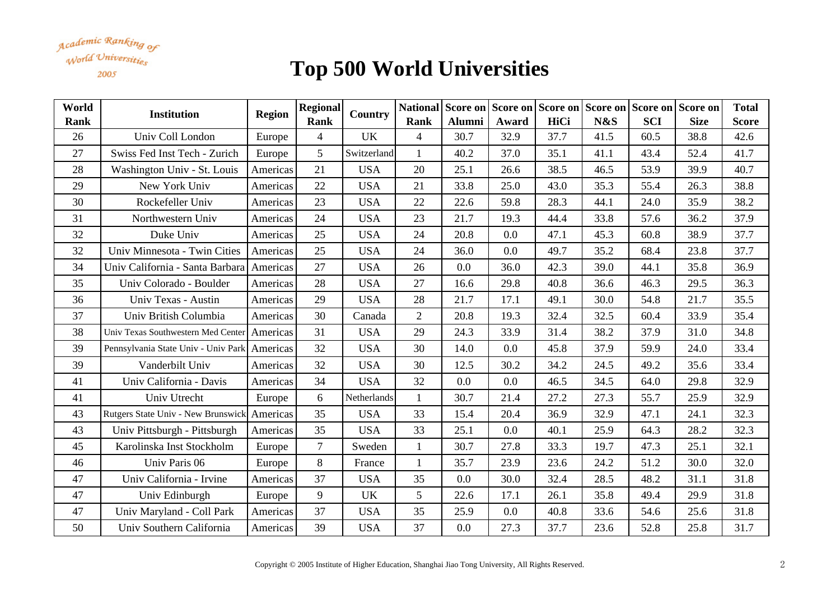Academic Ranking of World Universities 

| World       | <b>Institution</b>                  | <b>Region</b> | Regional       | Country     |                 |               |       | National Score on Score on Score on Score on Score on Score on |      |            |             | <b>Total</b> |
|-------------|-------------------------------------|---------------|----------------|-------------|-----------------|---------------|-------|----------------------------------------------------------------|------|------------|-------------|--------------|
| <b>Rank</b> |                                     |               | Rank           |             | <b>Rank</b>     | <b>Alumni</b> | Award | HiCi                                                           | N&S  | <b>SCI</b> | <b>Size</b> | <b>Score</b> |
| 26          | Univ Coll London                    | Europe        | $\overline{4}$ | UK          | $\overline{4}$  | 30.7          | 32.9  | 37.7                                                           | 41.5 | 60.5       | 38.8        | 42.6         |
| 27          | Swiss Fed Inst Tech - Zurich        | Europe        | 5              | Switzerland | $\mathbf{1}$    | 40.2          | 37.0  | 35.1                                                           | 41.1 | 43.4       | 52.4        | 41.7         |
| 28          | Washington Univ - St. Louis         | Americas      | 21             | <b>USA</b>  | 20              | 25.1          | 26.6  | 38.5                                                           | 46.5 | 53.9       | 39.9        | 40.7         |
| 29          | New York Univ                       | Americas      | 22             | <b>USA</b>  | 21              | 33.8          | 25.0  | 43.0                                                           | 35.3 | 55.4       | 26.3        | 38.8         |
| 30          | Rockefeller Univ                    | Americas      | 23             | <b>USA</b>  | 22              | 22.6          | 59.8  | 28.3                                                           | 44.1 | 24.0       | 35.9        | 38.2         |
| 31          | Northwestern Univ                   | Americas      | 24             | <b>USA</b>  | 23              | 21.7          | 19.3  | 44.4                                                           | 33.8 | 57.6       | 36.2        | 37.9         |
| 32          | Duke Univ                           | Americas      | 25             | <b>USA</b>  | 24              | 20.8          | 0.0   | 47.1                                                           | 45.3 | 60.8       | 38.9        | 37.7         |
| 32          | Univ Minnesota - Twin Cities        | Americas      | 25             | <b>USA</b>  | 24              | 36.0          | 0.0   | 49.7                                                           | 35.2 | 68.4       | 23.8        | 37.7         |
| 34          | Univ California - Santa Barbara     | Americas      | 27             | <b>USA</b>  | 26              | 0.0           | 36.0  | 42.3                                                           | 39.0 | 44.1       | 35.8        | 36.9         |
| 35          | Univ Colorado - Boulder             | Americas      | 28             | <b>USA</b>  | 27              | 16.6          | 29.8  | 40.8                                                           | 36.6 | 46.3       | 29.5        | 36.3         |
| 36          | Univ Texas - Austin                 | Americas      | 29             | <b>USA</b>  | 28              | 21.7          | 17.1  | 49.1                                                           | 30.0 | 54.8       | 21.7        | 35.5         |
| 37          | Univ British Columbia               | Americas      | 30             | Canada      | $\mathbf{2}$    | 20.8          | 19.3  | 32.4                                                           | 32.5 | 60.4       | 33.9        | 35.4         |
| 38          | Univ Texas Southwestern Med Center  | Americas      | 31             | <b>USA</b>  | 29              | 24.3          | 33.9  | 31.4                                                           | 38.2 | 37.9       | 31.0        | 34.8         |
| 39          | Pennsylvania State Univ - Univ Park | Americas      | 32             | <b>USA</b>  | 30              | 14.0          | 0.0   | 45.8                                                           | 37.9 | 59.9       | 24.0        | 33.4         |
| 39          | Vanderbilt Univ                     | Americas      | 32             | <b>USA</b>  | 30              | 12.5          | 30.2  | 34.2                                                           | 24.5 | 49.2       | 35.6        | 33.4         |
| 41          | Univ California - Davis             | Americas      | 34             | <b>USA</b>  | 32              | 0.0           | 0.0   | 46.5                                                           | 34.5 | 64.0       | 29.8        | 32.9         |
| 41          | Univ Utrecht                        | Europe        | 6              | Netherlands | $\mathbf{1}$    | 30.7          | 21.4  | 27.2                                                           | 27.3 | 55.7       | 25.9        | 32.9         |
| 43          | Rutgers State Univ - New Brunswick  | Americas      | 35             | <b>USA</b>  | 33              | 15.4          | 20.4  | 36.9                                                           | 32.9 | 47.1       | 24.1        | 32.3         |
| 43          | Univ Pittsburgh - Pittsburgh        | Americas      | 35             | <b>USA</b>  | 33              | 25.1          | 0.0   | 40.1                                                           | 25.9 | 64.3       | 28.2        | 32.3         |
| 45          | Karolinska Inst Stockholm           | Europe        | $\tau$         | Sweden      | $\mathbf{1}$    | 30.7          | 27.8  | 33.3                                                           | 19.7 | 47.3       | 25.1        | 32.1         |
| 46          | Univ Paris 06                       | Europe        | 8              | France      | $\mathbf{1}$    | 35.7          | 23.9  | 23.6                                                           | 24.2 | 51.2       | 30.0        | 32.0         |
| 47          | Univ California - Irvine            | Americas      | 37             | <b>USA</b>  | 35              | 0.0           | 30.0  | 32.4                                                           | 28.5 | 48.2       | 31.1        | 31.8         |
| 47          | Univ Edinburgh                      | Europe        | 9              | <b>UK</b>   | $5\overline{)}$ | 22.6          | 17.1  | 26.1                                                           | 35.8 | 49.4       | 29.9        | 31.8         |
| 47          | Univ Maryland - Coll Park           | Americas      | 37             | <b>USA</b>  | 35              | 25.9          | 0.0   | 40.8                                                           | 33.6 | 54.6       | 25.6        | 31.8         |
| 50          | Univ Southern California            | Americas      | 39             | <b>USA</b>  | 37              | 0.0           | 27.3  | 37.7                                                           | 23.6 | 52.8       | 25.8        | 31.7         |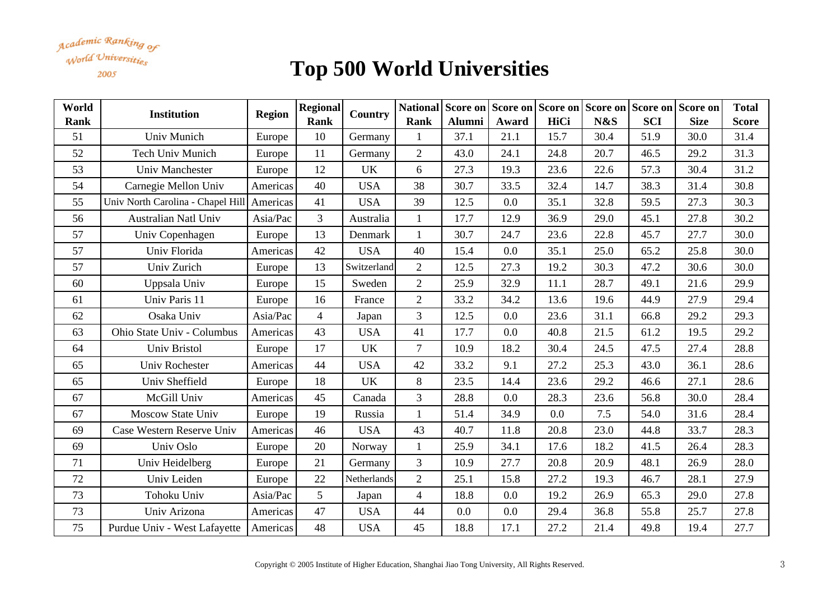Academic Ranking of World Universities 

| World       | <b>Institution</b>                | <b>Region</b> | <b>Regional</b> | Country     |                |               |       |      | National Score on Score on Score on Score on Score on Score on |            |             | <b>Total</b> |
|-------------|-----------------------------------|---------------|-----------------|-------------|----------------|---------------|-------|------|----------------------------------------------------------------|------------|-------------|--------------|
| <b>Rank</b> |                                   |               | Rank            |             | Rank           | <b>Alumni</b> | Award | HiCi | N&S                                                            | <b>SCI</b> | <b>Size</b> | <b>Score</b> |
| 51          | Univ Munich                       | Europe        | 10              | Germany     | $\mathbf{1}$   | 37.1          | 21.1  | 15.7 | 30.4                                                           | 51.9       | 30.0        | 31.4         |
| 52          | <b>Tech Univ Munich</b>           | Europe        | 11              | Germany     | $\overline{2}$ | 43.0          | 24.1  | 24.8 | 20.7                                                           | 46.5       | 29.2        | 31.3         |
| 53          | Univ Manchester                   | Europe        | 12              | UK          | 6              | 27.3          | 19.3  | 23.6 | 22.6                                                           | 57.3       | 30.4        | 31.2         |
| 54          | Carnegie Mellon Univ              | Americas      | 40              | <b>USA</b>  | 38             | 30.7          | 33.5  | 32.4 | 14.7                                                           | 38.3       | 31.4        | 30.8         |
| 55          | Univ North Carolina - Chapel Hill | Americas      | 41              | <b>USA</b>  | 39             | 12.5          | 0.0   | 35.1 | 32.8                                                           | 59.5       | 27.3        | 30.3         |
| 56          | <b>Australian Natl Univ</b>       | Asia/Pac      | $\overline{3}$  | Australia   | $\mathbf{1}$   | 17.7          | 12.9  | 36.9 | 29.0                                                           | 45.1       | 27.8        | 30.2         |
| 57          | Univ Copenhagen                   | Europe        | 13              | Denmark     | $\mathbf{1}$   | 30.7          | 24.7  | 23.6 | 22.8                                                           | 45.7       | 27.7        | 30.0         |
| 57          | Univ Florida                      | Americas      | 42              | <b>USA</b>  | 40             | 15.4          | 0.0   | 35.1 | 25.0                                                           | 65.2       | 25.8        | 30.0         |
| 57          | Univ Zurich                       | Europe        | 13              | Switzerland | $\overline{2}$ | 12.5          | 27.3  | 19.2 | 30.3                                                           | 47.2       | 30.6        | 30.0         |
| 60          | Uppsala Univ                      | Europe        | 15              | Sweden      | $\overline{2}$ | 25.9          | 32.9  | 11.1 | 28.7                                                           | 49.1       | 21.6        | 29.9         |
| 61          | Univ Paris 11                     | Europe        | 16              | France      | $\overline{2}$ | 33.2          | 34.2  | 13.6 | 19.6                                                           | 44.9       | 27.9        | 29.4         |
| 62          | Osaka Univ                        | Asia/Pac      | $\overline{4}$  | Japan       | 3              | 12.5          | 0.0   | 23.6 | 31.1                                                           | 66.8       | 29.2        | 29.3         |
| 63          | Ohio State Univ - Columbus        | Americas      | 43              | <b>USA</b>  | 41             | 17.7          | 0.0   | 40.8 | 21.5                                                           | 61.2       | 19.5        | 29.2         |
| 64          | <b>Univ Bristol</b>               | Europe        | 17              | <b>UK</b>   | $\overline{7}$ | 10.9          | 18.2  | 30.4 | 24.5                                                           | 47.5       | 27.4        | 28.8         |
| 65          | Univ Rochester                    | Americas      | 44              | <b>USA</b>  | 42             | 33.2          | 9.1   | 27.2 | 25.3                                                           | 43.0       | 36.1        | 28.6         |
| 65          | Univ Sheffield                    | Europe        | 18              | UK          | 8              | 23.5          | 14.4  | 23.6 | 29.2                                                           | 46.6       | 27.1        | 28.6         |
| 67          | McGill Univ                       | Americas      | 45              | Canada      | $\overline{3}$ | 28.8          | 0.0   | 28.3 | 23.6                                                           | 56.8       | 30.0        | 28.4         |
| 67          | <b>Moscow State Univ</b>          | Europe        | 19              | Russia      | $\mathbf{1}$   | 51.4          | 34.9  | 0.0  | 7.5                                                            | 54.0       | 31.6        | 28.4         |
| 69          | Case Western Reserve Univ         | Americas      | 46              | <b>USA</b>  | 43             | 40.7          | 11.8  | 20.8 | 23.0                                                           | 44.8       | 33.7        | 28.3         |
| 69          | Univ Oslo                         | Europe        | 20              | Norway      | $\mathbf{1}$   | 25.9          | 34.1  | 17.6 | 18.2                                                           | 41.5       | 26.4        | 28.3         |
| 71          | Univ Heidelberg                   | Europe        | 21              | Germany     | $\overline{3}$ | 10.9          | 27.7  | 20.8 | 20.9                                                           | 48.1       | 26.9        | 28.0         |
| 72          | Univ Leiden                       | Europe        | 22              | Netherlands | $\overline{2}$ | 25.1          | 15.8  | 27.2 | 19.3                                                           | 46.7       | 28.1        | 27.9         |
| 73          | Tohoku Univ                       | Asia/Pac      | 5               | Japan       | $\overline{4}$ | 18.8          | 0.0   | 19.2 | 26.9                                                           | 65.3       | 29.0        | 27.8         |
| 73          | Univ Arizona                      | Americas      | 47              | <b>USA</b>  | 44             | 0.0           | 0.0   | 29.4 | 36.8                                                           | 55.8       | 25.7        | 27.8         |
| 75          | Purdue Univ - West Lafayette      | Americas      | 48              | <b>USA</b>  | 45             | 18.8          | 17.1  | 27.2 | 21.4                                                           | 49.8       | 19.4        | 27.7         |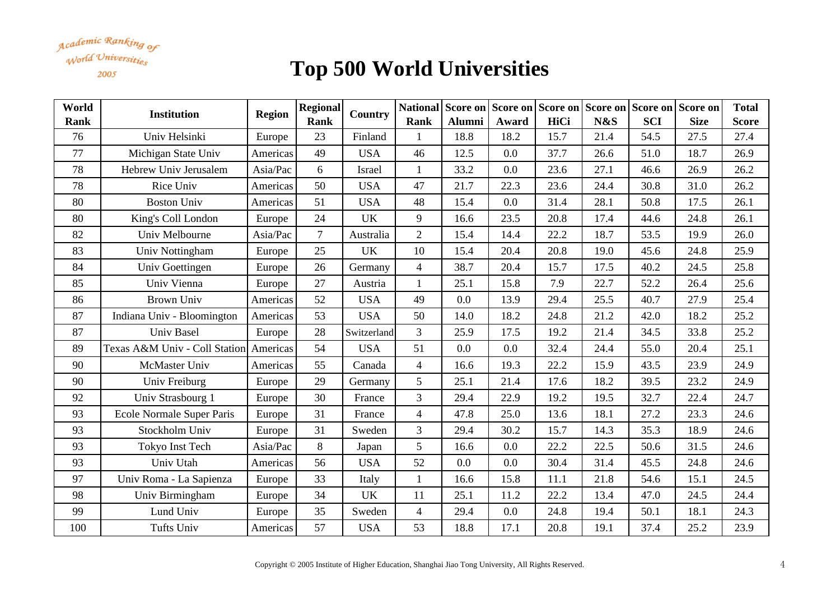Academic Ranking of World Universities 

| World<br><b>Rank</b> | <b>Institution</b>            | <b>Region</b> | Regional<br><b>Rank</b> | Country     | Rank           | <b>Alumni</b> | Award   | National Score on Score on Score on Score on Score on Score on<br>HiCi | N&S  | <b>SCI</b> | <b>Size</b> | <b>Total</b><br><b>Score</b> |
|----------------------|-------------------------------|---------------|-------------------------|-------------|----------------|---------------|---------|------------------------------------------------------------------------|------|------------|-------------|------------------------------|
| 76                   | Univ Helsinki                 | Europe        | 23                      | Finland     | $\mathbf{1}$   | 18.8          | 18.2    | 15.7                                                                   | 21.4 | 54.5       | 27.5        | 27.4                         |
| 77                   | Michigan State Univ           | Americas      | 49                      | <b>USA</b>  | 46             | 12.5          | 0.0     | 37.7                                                                   | 26.6 | 51.0       | 18.7        | 26.9                         |
| 78                   | Hebrew Univ Jerusalem         | Asia/Pac      | 6                       | Israel      | $\mathbf{1}$   | 33.2          | $0.0\,$ | 23.6                                                                   | 27.1 | 46.6       | 26.9        | 26.2                         |
| 78                   | Rice Univ                     | Americas      | 50                      | <b>USA</b>  | 47             | 21.7          | 22.3    | 23.6                                                                   | 24.4 | 30.8       | 31.0        | 26.2                         |
| 80                   | <b>Boston Univ</b>            | Americas      | 51                      | <b>USA</b>  | 48             | 15.4          | 0.0     | 31.4                                                                   | 28.1 | 50.8       | 17.5        | 26.1                         |
| 80                   | King's Coll London            | Europe        | 24                      | <b>UK</b>   | 9              | 16.6          | 23.5    | 20.8                                                                   | 17.4 | 44.6       | 24.8        | 26.1                         |
| 82                   | Univ Melbourne                | Asia/Pac      | $\overline{7}$          | Australia   | $\sqrt{2}$     | 15.4          | 14.4    | 22.2                                                                   | 18.7 | 53.5       | 19.9        | 26.0                         |
| 83                   | Univ Nottingham               | Europe        | 25                      | <b>UK</b>   | 10             | 15.4          | 20.4    | 20.8                                                                   | 19.0 | 45.6       | 24.8        | 25.9                         |
| 84                   | Univ Goettingen               | Europe        | 26                      | Germany     | $\overline{4}$ | 38.7          | 20.4    | 15.7                                                                   | 17.5 | 40.2       | 24.5        | 25.8                         |
| 85                   | Univ Vienna                   | Europe        | 27                      | Austria     | $\mathbf{1}$   | 25.1          | 15.8    | 7.9                                                                    | 22.7 | 52.2       | 26.4        | 25.6                         |
| 86                   | <b>Brown Univ</b>             | Americas      | 52                      | <b>USA</b>  | 49             | 0.0           | 13.9    | 29.4                                                                   | 25.5 | 40.7       | 27.9        | 25.4                         |
| 87                   | Indiana Univ - Bloomington    | Americas      | 53                      | <b>USA</b>  | 50             | 14.0          | 18.2    | 24.8                                                                   | 21.2 | 42.0       | 18.2        | 25.2                         |
| 87                   | Univ Basel                    | Europe        | 28                      | Switzerland | $\mathfrak{Z}$ | 25.9          | 17.5    | 19.2                                                                   | 21.4 | 34.5       | 33.8        | 25.2                         |
| 89                   | Texas A&M Univ - Coll Station | Americas      | 54                      | <b>USA</b>  | 51             | 0.0           | 0.0     | 32.4                                                                   | 24.4 | 55.0       | 20.4        | 25.1                         |
| 90                   | McMaster Univ                 | Americas      | 55                      | Canada      | $\overline{4}$ | 16.6          | 19.3    | 22.2                                                                   | 15.9 | 43.5       | 23.9        | 24.9                         |
| 90                   | Univ Freiburg                 | Europe        | 29                      | Germany     | 5              | 25.1          | 21.4    | 17.6                                                                   | 18.2 | 39.5       | 23.2        | 24.9                         |
| 92                   | Univ Strasbourg 1             | Europe        | 30                      | France      | 3              | 29.4          | 22.9    | 19.2                                                                   | 19.5 | 32.7       | 22.4        | 24.7                         |
| 93                   | Ecole Normale Super Paris     | Europe        | 31                      | France      | $\overline{4}$ | 47.8          | 25.0    | 13.6                                                                   | 18.1 | 27.2       | 23.3        | 24.6                         |
| 93                   | Stockholm Univ                | Europe        | 31                      | Sweden      | 3              | 29.4          | 30.2    | 15.7                                                                   | 14.3 | 35.3       | 18.9        | 24.6                         |
| 93                   | Tokyo Inst Tech               | Asia/Pac      | 8                       | Japan       | 5              | 16.6          | 0.0     | 22.2                                                                   | 22.5 | 50.6       | 31.5        | 24.6                         |
| 93                   | Univ Utah                     | Americas      | 56                      | <b>USA</b>  | 52             | 0.0           | 0.0     | 30.4                                                                   | 31.4 | 45.5       | 24.8        | 24.6                         |
| 97                   | Univ Roma - La Sapienza       | Europe        | 33                      | Italy       | $\mathbf{1}$   | 16.6          | 15.8    | 11.1                                                                   | 21.8 | 54.6       | 15.1        | 24.5                         |
| 98                   | Univ Birmingham               | Europe        | 34                      | <b>UK</b>   | 11             | 25.1          | 11.2    | 22.2                                                                   | 13.4 | 47.0       | 24.5        | 24.4                         |
| 99                   | Lund Univ                     | Europe        | 35                      | Sweden      | $\overline{4}$ | 29.4          | 0.0     | 24.8                                                                   | 19.4 | 50.1       | 18.1        | 24.3                         |
| 100                  | <b>Tufts Univ</b>             | Americas      | 57                      | <b>USA</b>  | 53             | 18.8          | 17.1    | 20.8                                                                   | 19.1 | 37.4       | 25.2        | 23.9                         |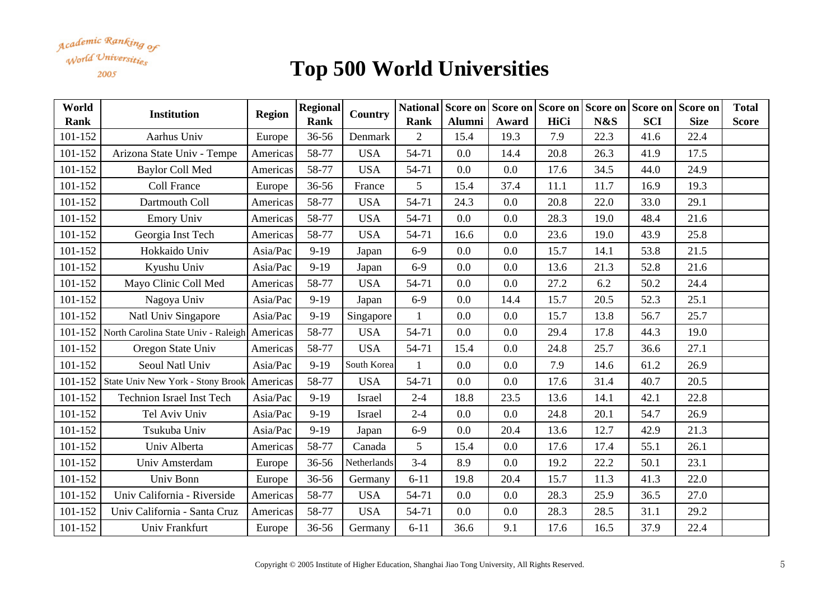Academic Ranking of World Universities 2005

| World<br>Rank | <b>Institution</b>                           | <b>Region</b> | <b>Regional</b><br><b>Rank</b> | Country     | Rank           | <b>Alumni</b> | Award   | National Score on Score on Score on Score on Score on Score on<br>HiCi | N&S  | <b>SCI</b> | <b>Size</b> | <b>Total</b><br><b>Score</b> |
|---------------|----------------------------------------------|---------------|--------------------------------|-------------|----------------|---------------|---------|------------------------------------------------------------------------|------|------------|-------------|------------------------------|
| 101-152       | Aarhus Univ                                  | Europe        | 36-56                          | Denmark     | $\overline{2}$ | 15.4          | 19.3    | 7.9                                                                    | 22.3 | 41.6       | 22.4        |                              |
| 101-152       | Arizona State Univ - Tempe                   |               | 58-77                          | <b>USA</b>  | 54-71          | 0.0           | 14.4    | 20.8                                                                   | 26.3 | 41.9       | 17.5        |                              |
|               |                                              | Americas      |                                |             |                |               |         |                                                                        |      |            |             |                              |
| 101-152       | <b>Baylor Coll Med</b>                       | Americas      | 58-77                          | <b>USA</b>  | 54-71          | 0.0           | 0.0     | 17.6                                                                   | 34.5 | 44.0       | 24.9        |                              |
| 101-152       | Coll France                                  | Europe        | 36-56                          | France      | 5              | 15.4          | 37.4    | 11.1                                                                   | 11.7 | 16.9       | 19.3        |                              |
| 101-152       | Dartmouth Coll                               | Americas      | 58-77                          | <b>USA</b>  | 54-71          | 24.3          | 0.0     | 20.8                                                                   | 22.0 | 33.0       | 29.1        |                              |
| 101-152       | <b>Emory Univ</b>                            | Americas      | 58-77                          | <b>USA</b>  | 54-71          | 0.0           | 0.0     | 28.3                                                                   | 19.0 | 48.4       | 21.6        |                              |
| 101-152       | Georgia Inst Tech                            | Americas      | 58-77                          | <b>USA</b>  | 54-71          | 16.6          | $0.0\,$ | 23.6                                                                   | 19.0 | 43.9       | 25.8        |                              |
| 101-152       | Hokkaido Univ                                | Asia/Pac      | $9-19$                         | Japan       | $6-9$          | 0.0           | 0.0     | 15.7                                                                   | 14.1 | 53.8       | 21.5        |                              |
| 101-152       | Kyushu Univ                                  | Asia/Pac      | $9-19$                         | Japan       | $6-9$          | 0.0           | 0.0     | 13.6                                                                   | 21.3 | 52.8       | 21.6        |                              |
| 101-152       | Mayo Clinic Coll Med                         | Americas      | 58-77                          | <b>USA</b>  | 54-71          | 0.0           | 0.0     | 27.2                                                                   | 6.2  | 50.2       | 24.4        |                              |
| 101-152       | Nagoya Univ                                  | Asia/Pac      | $9-19$                         | Japan       | $6-9$          | 0.0           | 14.4    | 15.7                                                                   | 20.5 | 52.3       | 25.1        |                              |
| 101-152       | Natl Univ Singapore                          | Asia/Pac      | $9-19$                         | Singapore   | $\mathbf{1}$   | 0.0           | 0.0     | 15.7                                                                   | 13.8 | 56.7       | 25.7        |                              |
| 101-152       | North Carolina State Univ - Raleigh Americas |               | 58-77                          | <b>USA</b>  | 54-71          | 0.0           | 0.0     | 29.4                                                                   | 17.8 | 44.3       | 19.0        |                              |
| 101-152       | Oregon State Univ                            | Americas      | 58-77                          | <b>USA</b>  | 54-71          | 15.4          | 0.0     | 24.8                                                                   | 25.7 | 36.6       | 27.1        |                              |
| 101-152       | Seoul Natl Univ                              | Asia/Pac      | $9-19$                         | South Korea | $\mathbf{1}$   | 0.0           | 0.0     | 7.9                                                                    | 14.6 | 61.2       | 26.9        |                              |
| 101-152       | State Univ New York - Stony Brook            | Americas      | 58-77                          | <b>USA</b>  | 54-71          | 0.0           | 0.0     | 17.6                                                                   | 31.4 | 40.7       | 20.5        |                              |
| 101-152       | <b>Technion Israel Inst Tech</b>             | Asia/Pac      | $9-19$                         | Israel      | $2 - 4$        | 18.8          | 23.5    | 13.6                                                                   | 14.1 | 42.1       | 22.8        |                              |
| 101-152       | Tel Aviv Univ                                | Asia/Pac      | $9-19$                         | Israel      | $2 - 4$        | 0.0           | 0.0     | 24.8                                                                   | 20.1 | 54.7       | 26.9        |                              |
| 101-152       | Tsukuba Univ                                 | Asia/Pac      | $9-19$                         | Japan       | $6-9$          | 0.0           | 20.4    | 13.6                                                                   | 12.7 | 42.9       | 21.3        |                              |
| 101-152       | Univ Alberta                                 | Americas      | 58-77                          | Canada      | 5              | 15.4          | 0.0     | 17.6                                                                   | 17.4 | 55.1       | 26.1        |                              |
| 101-152       | Univ Amsterdam                               | Europe        | 36-56                          | Netherlands | $3 - 4$        | 8.9           | 0.0     | 19.2                                                                   | 22.2 | 50.1       | 23.1        |                              |
| 101-152       | Univ Bonn                                    | Europe        | 36-56                          | Germany     | $6 - 11$       | 19.8          | 20.4    | 15.7                                                                   | 11.3 | 41.3       | 22.0        |                              |
| 101-152       | Univ California - Riverside                  | Americas      | 58-77                          | <b>USA</b>  | 54-71          | 0.0           | 0.0     | 28.3                                                                   | 25.9 | 36.5       | 27.0        |                              |
| 101-152       | Univ California - Santa Cruz                 | Americas      | 58-77                          | <b>USA</b>  | 54-71          | 0.0           | 0.0     | 28.3                                                                   | 28.5 | 31.1       | 29.2        |                              |
| 101-152       | Univ Frankfurt                               | Europe        | 36-56                          | Germany     | $6 - 11$       | 36.6          | 9.1     | 17.6                                                                   | 16.5 | 37.9       | 22.4        |                              |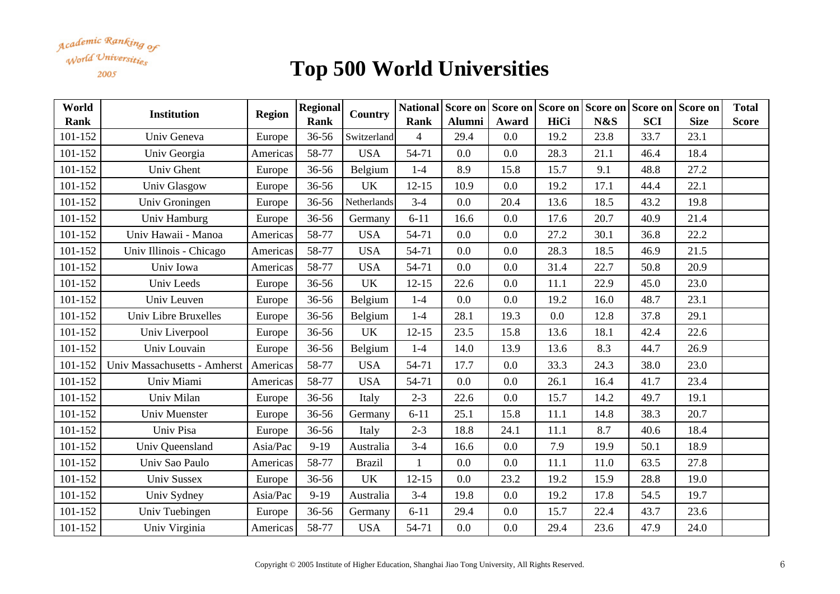Academic Ranking of World Universities 2005

| World       | <b>Institution</b>           | <b>Region</b> | <b>Regional</b> | <b>Country</b> |                | National Score on Score on Score on Score on Score on Score on |       |      |      |            |             | <b>Total</b> |
|-------------|------------------------------|---------------|-----------------|----------------|----------------|----------------------------------------------------------------|-------|------|------|------------|-------------|--------------|
| <b>Rank</b> |                              |               | <b>Rank</b>     |                | Rank           | <b>Alumni</b>                                                  | Award | HiCi | N&S  | <b>SCI</b> | <b>Size</b> | <b>Score</b> |
| 101-152     | Univ Geneva                  | Europe        | 36-56           | Switzerland    | $\overline{4}$ | 29.4                                                           | 0.0   | 19.2 | 23.8 | 33.7       | 23.1        |              |
| 101-152     | Univ Georgia                 | Americas      | 58-77           | <b>USA</b>     | 54-71          | 0.0                                                            | 0.0   | 28.3 | 21.1 | 46.4       | 18.4        |              |
| 101-152     | Univ Ghent                   | Europe        | 36-56           | Belgium        | $1-4$          | 8.9                                                            | 15.8  | 15.7 | 9.1  | 48.8       | 27.2        |              |
| 101-152     | Univ Glasgow                 | Europe        | 36-56           | <b>UK</b>      | $12 - 15$      | 10.9                                                           | 0.0   | 19.2 | 17.1 | 44.4       | 22.1        |              |
| 101-152     | Univ Groningen               | Europe        | 36-56           | Netherlands    | $3 - 4$        | 0.0                                                            | 20.4  | 13.6 | 18.5 | 43.2       | 19.8        |              |
| 101-152     | Univ Hamburg                 | Europe        | 36-56           | Germany        | $6 - 11$       | 16.6                                                           | 0.0   | 17.6 | 20.7 | 40.9       | 21.4        |              |
| 101-152     | Univ Hawaii - Manoa          | Americas      | 58-77           | <b>USA</b>     | 54-71          | 0.0                                                            | 0.0   | 27.2 | 30.1 | 36.8       | 22.2        |              |
| 101-152     | Univ Illinois - Chicago      | Americas      | 58-77           | <b>USA</b>     | 54-71          | 0.0                                                            | 0.0   | 28.3 | 18.5 | 46.9       | 21.5        |              |
| 101-152     | Univ Iowa                    | Americas      | 58-77           | <b>USA</b>     | 54-71          | 0.0                                                            | 0.0   | 31.4 | 22.7 | 50.8       | 20.9        |              |
| 101-152     | Univ Leeds                   | Europe        | 36-56           | <b>UK</b>      | $12 - 15$      | 22.6                                                           | 0.0   | 11.1 | 22.9 | 45.0       | 23.0        |              |
| 101-152     | Univ Leuven                  | Europe        | 36-56           | Belgium        | $1-4$          | 0.0                                                            | 0.0   | 19.2 | 16.0 | 48.7       | 23.1        |              |
| 101-152     | Univ Libre Bruxelles         | Europe        | 36-56           | Belgium        | $1-4$          | 28.1                                                           | 19.3  | 0.0  | 12.8 | 37.8       | 29.1        |              |
| 101-152     | Univ Liverpool               | Europe        | 36-56           | <b>UK</b>      | $12 - 15$      | 23.5                                                           | 15.8  | 13.6 | 18.1 | 42.4       | 22.6        |              |
| 101-152     | Univ Louvain                 | Europe        | 36-56           | Belgium        | $1-4$          | 14.0                                                           | 13.9  | 13.6 | 8.3  | 44.7       | 26.9        |              |
| 101-152     | Univ Massachusetts - Amherst | Americas      | 58-77           | <b>USA</b>     | 54-71          | 17.7                                                           | 0.0   | 33.3 | 24.3 | 38.0       | 23.0        |              |
| 101-152     | Univ Miami                   | Americas      | 58-77           | <b>USA</b>     | 54-71          | 0.0                                                            | 0.0   | 26.1 | 16.4 | 41.7       | 23.4        |              |
| 101-152     | Univ Milan                   | Europe        | 36-56           | Italy          | $2 - 3$        | 22.6                                                           | 0.0   | 15.7 | 14.2 | 49.7       | 19.1        |              |
| 101-152     | Univ Muenster                | Europe        | 36-56           | Germany        | $6 - 11$       | 25.1                                                           | 15.8  | 11.1 | 14.8 | 38.3       | 20.7        |              |
| 101-152     | Univ Pisa                    | Europe        | 36-56           | Italy          | $2 - 3$        | 18.8                                                           | 24.1  | 11.1 | 8.7  | 40.6       | 18.4        |              |
| 101-152     | Univ Queensland              | Asia/Pac      | $9-19$          | Australia      | $3 - 4$        | 16.6                                                           | 0.0   | 7.9  | 19.9 | 50.1       | 18.9        |              |
| 101-152     | Univ Sao Paulo               | Americas      | 58-77           | <b>Brazil</b>  | 1              | 0.0                                                            | 0.0   | 11.1 | 11.0 | 63.5       | 27.8        |              |
| 101-152     | <b>Univ Sussex</b>           | Europe        | 36-56           | <b>UK</b>      | $12 - 15$      | 0.0                                                            | 23.2  | 19.2 | 15.9 | 28.8       | 19.0        |              |
| 101-152     | Univ Sydney                  | Asia/Pac      | $9-19$          | Australia      | $3 - 4$        | 19.8                                                           | 0.0   | 19.2 | 17.8 | 54.5       | 19.7        |              |
| 101-152     | Univ Tuebingen               | Europe        | 36-56           | Germany        | $6 - 11$       | 29.4                                                           | 0.0   | 15.7 | 22.4 | 43.7       | 23.6        |              |
| 101-152     | Univ Virginia                | Americas      | 58-77           | <b>USA</b>     | 54-71          | 0.0                                                            | 0.0   | 29.4 | 23.6 | 47.9       | 24.0        |              |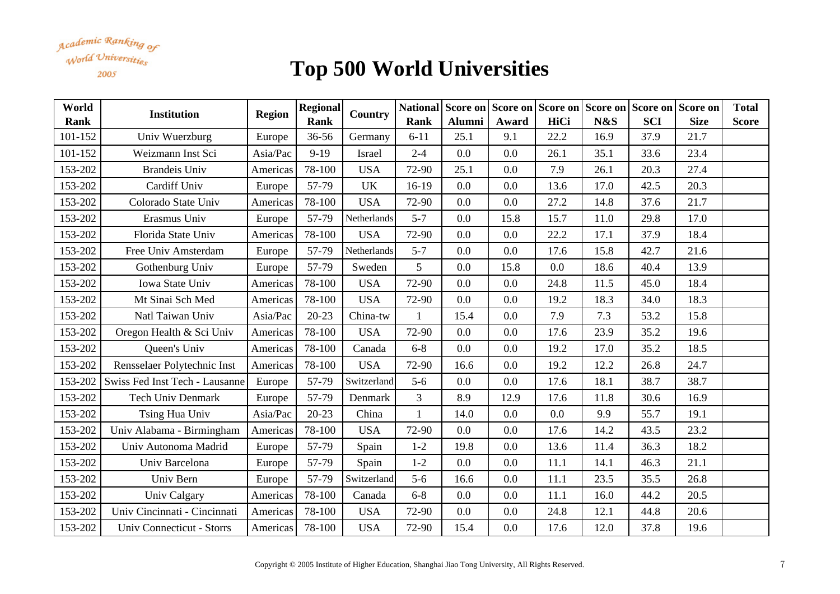Academic Ranking of World Universities 2005

| World<br><b>Rank</b> | <b>Institution</b>             | <b>Region</b>         | <b>Regional</b><br><b>Rank</b> | Country     | <b>Rank</b>  | <b>Alumni</b> | National Score on Score on Score on Score on Score on Score on<br>Award | HiCi | N&S  | <b>SCI</b> | <b>Size</b> | <b>Total</b><br><b>Score</b> |
|----------------------|--------------------------------|-----------------------|--------------------------------|-------------|--------------|---------------|-------------------------------------------------------------------------|------|------|------------|-------------|------------------------------|
| 101-152              | Univ Wuerzburg                 | Europe                | 36-56                          | Germany     | $6 - 11$     | 25.1          | 9.1                                                                     | 22.2 | 16.9 | 37.9       | 21.7        |                              |
| 101-152              | Weizmann Inst Sci              | Asia/Pac              | $9-19$                         | Israel      | $2 - 4$      | 0.0           | 0.0                                                                     | 26.1 | 35.1 | 33.6       | 23.4        |                              |
| 153-202              | <b>Brandeis Univ</b>           | Americas              | 78-100                         | <b>USA</b>  | 72-90        | 25.1          | 0.0                                                                     | 7.9  | 26.1 | 20.3       | 27.4        |                              |
| 153-202              | Cardiff Univ                   | Europe                | 57-79                          | <b>UK</b>   | $16-19$      | 0.0           | 0.0                                                                     | 13.6 | 17.0 | 42.5       | 20.3        |                              |
| 153-202              | Colorado State Univ            | Americas              | 78-100                         | <b>USA</b>  | 72-90        | 0.0           | 0.0                                                                     | 27.2 | 14.8 | 37.6       | 21.7        |                              |
| 153-202              | Erasmus Univ                   | Europe                | 57-79                          | Netherlands | $5 - 7$      | 0.0           | 15.8                                                                    | 15.7 | 11.0 | 29.8       | 17.0        |                              |
| 153-202              | Florida State Univ             | Americas              | 78-100                         | <b>USA</b>  | 72-90        | 0.0           | 0.0                                                                     | 22.2 | 17.1 | 37.9       | 18.4        |                              |
| 153-202              | Free Univ Amsterdam            | Europe                | 57-79                          | Netherlands | $5 - 7$      | 0.0           | 0.0                                                                     | 17.6 | 15.8 | 42.7       | 21.6        |                              |
| 153-202              | Gothenburg Univ                | Europe                | 57-79                          | Sweden      | 5            | 0.0           | 15.8                                                                    | 0.0  | 18.6 | 40.4       | 13.9        |                              |
| 153-202              | Iowa State Univ                | Americas              | 78-100                         | <b>USA</b>  | 72-90        | 0.0           | 0.0                                                                     | 24.8 | 11.5 | 45.0       | 18.4        |                              |
| 153-202              | Mt Sinai Sch Med               | Americas              | 78-100                         | <b>USA</b>  | 72-90        | 0.0           | 0.0                                                                     | 19.2 | 18.3 | 34.0       | 18.3        |                              |
| 153-202              | Natl Taiwan Univ               | Asia/Pac              | $20 - 23$                      | China-tw    |              | 15.4          | 0.0                                                                     | 7.9  | 7.3  | 53.2       | 15.8        |                              |
| 153-202              | Oregon Health & Sci Univ       | Americas              | 78-100                         | <b>USA</b>  | 72-90        | 0.0           | 0.0                                                                     | 17.6 | 23.9 | 35.2       | 19.6        |                              |
| 153-202              | Queen's Univ                   | Americas              | 78-100                         | Canada      | $6 - 8$      | 0.0           | 0.0                                                                     | 19.2 | 17.0 | 35.2       | 18.5        |                              |
| 153-202              | Rensselaer Polytechnic Inst    | Americas              | 78-100                         | <b>USA</b>  | 72-90        | 16.6          | 0.0                                                                     | 19.2 | 12.2 | 26.8       | 24.7        |                              |
| 153-202              | Swiss Fed Inst Tech - Lausanne | Europe                | 57-79                          | Switzerland | $5-6$        | 0.0           | 0.0                                                                     | 17.6 | 18.1 | 38.7       | 38.7        |                              |
| 153-202              | <b>Tech Univ Denmark</b>       | Europe                | 57-79                          | Denmark     | 3            | 8.9           | 12.9                                                                    | 17.6 | 11.8 | 30.6       | 16.9        |                              |
| 153-202              | Tsing Hua Univ                 | Asia/Pac              | $20 - 23$                      | China       | $\mathbf{1}$ | 14.0          | 0.0                                                                     | 0.0  | 9.9  | 55.7       | 19.1        |                              |
| 153-202              | Univ Alabama - Birmingham      | Americas              | 78-100                         | <b>USA</b>  | 72-90        | 0.0           | 0.0                                                                     | 17.6 | 14.2 | 43.5       | 23.2        |                              |
| 153-202              | Univ Autonoma Madrid           | Europe                | 57-79                          | Spain       | $1 - 2$      | 19.8          | 0.0                                                                     | 13.6 | 11.4 | 36.3       | 18.2        |                              |
| 153-202              | Univ Barcelona                 | Europe                | 57-79                          | Spain       | $1 - 2$      | 0.0           | 0.0                                                                     | 11.1 | 14.1 | 46.3       | 21.1        |                              |
| 153-202              | Univ Bern                      | Europe                | 57-79                          | Switzerland | $5-6$        | 16.6          | 0.0                                                                     | 11.1 | 23.5 | 35.5       | 26.8        |                              |
| 153-202              | Univ Calgary                   | Americas              | 78-100                         | Canada      | $6 - 8$      | 0.0           | 0.0                                                                     | 11.1 | 16.0 | 44.2       | 20.5        |                              |
| 153-202              | Univ Cincinnati - Cincinnati   | Americas              | 78-100                         | <b>USA</b>  | 72-90        | 0.0           | 0.0                                                                     | 24.8 | 12.1 | 44.8       | 20.6        |                              |
| 153-202              | Univ Connecticut - Storrs      | Americas <sup> </sup> | 78-100                         | <b>USA</b>  | 72-90        | 15.4          | 0.0                                                                     | 17.6 | 12.0 | 37.8       | 19.6        |                              |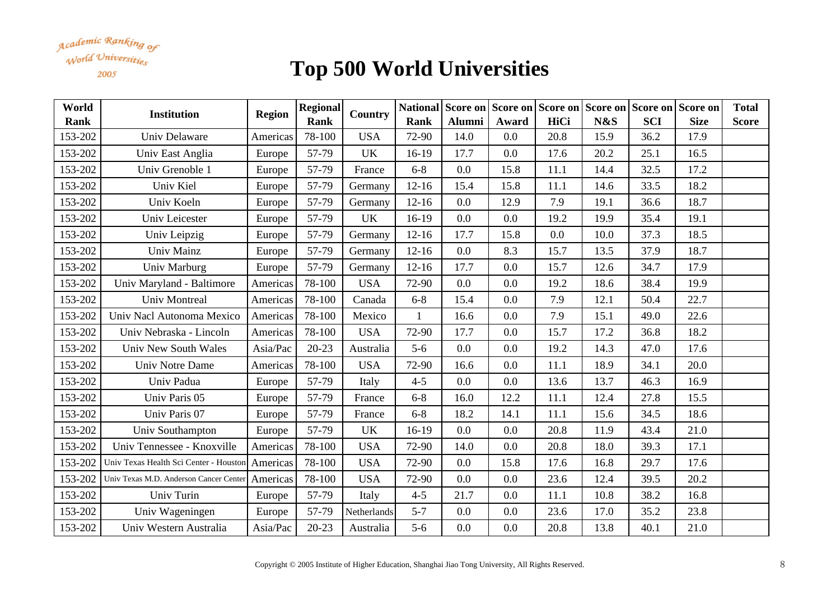Academic Ranking of World Universities 2005

| World       | <b>Institution</b>                                | <b>Region</b> | <b>Regional</b> | Country     |              |               |         | National Score on Score on Score on Score on Score on Score on |      |            |             | <b>Total</b> |
|-------------|---------------------------------------------------|---------------|-----------------|-------------|--------------|---------------|---------|----------------------------------------------------------------|------|------------|-------------|--------------|
| <b>Rank</b> |                                                   |               | <b>Rank</b>     |             | <b>Rank</b>  | <b>Alumni</b> | Award   | HiCi                                                           | N&S  | <b>SCI</b> | <b>Size</b> | <b>Score</b> |
| 153-202     | Univ Delaware                                     | Americas      | 78-100          | <b>USA</b>  | 72-90        | 14.0          | 0.0     | 20.8                                                           | 15.9 | 36.2       | 17.9        |              |
| 153-202     | Univ East Anglia                                  | Europe        | 57-79           | <b>UK</b>   | $16-19$      | 17.7          | 0.0     | 17.6                                                           | 20.2 | 25.1       | 16.5        |              |
| 153-202     | Univ Grenoble 1                                   | Europe        | 57-79           | France      | $6 - 8$      | 0.0           | 15.8    | 11.1                                                           | 14.4 | 32.5       | 17.2        |              |
| 153-202     | Univ Kiel                                         | Europe        | 57-79           | Germany     | $12 - 16$    | 15.4          | 15.8    | 11.1                                                           | 14.6 | 33.5       | 18.2        |              |
| 153-202     | Univ Koeln                                        | Europe        | 57-79           | Germany     | $12 - 16$    | 0.0           | 12.9    | 7.9                                                            | 19.1 | 36.6       | 18.7        |              |
| 153-202     | Univ Leicester                                    | Europe        | 57-79           | UK          | $16-19$      | 0.0           | 0.0     | 19.2                                                           | 19.9 | 35.4       | 19.1        |              |
| 153-202     | Univ Leipzig                                      | Europe        | 57-79           | Germany     | $12 - 16$    | 17.7          | 15.8    | 0.0                                                            | 10.0 | 37.3       | 18.5        |              |
| 153-202     | Univ Mainz                                        | Europe        | 57-79           | Germany     | $12 - 16$    | 0.0           | 8.3     | 15.7                                                           | 13.5 | 37.9       | 18.7        |              |
| 153-202     | Univ Marburg                                      | Europe        | 57-79           | Germany     | $12 - 16$    | 17.7          | 0.0     | 15.7                                                           | 12.6 | 34.7       | 17.9        |              |
| 153-202     | Univ Maryland - Baltimore                         | Americas      | 78-100          | <b>USA</b>  | 72-90        | 0.0           | 0.0     | 19.2                                                           | 18.6 | 38.4       | 19.9        |              |
| 153-202     | <b>Univ Montreal</b>                              | Americas      | 78-100          | Canada      | $6 - 8$      | 15.4          | 0.0     | 7.9                                                            | 12.1 | 50.4       | 22.7        |              |
| 153-202     | Univ Nacl Autonoma Mexico                         | Americas      | 78-100          | Mexico      | $\mathbf{1}$ | 16.6          | 0.0     | 7.9                                                            | 15.1 | 49.0       | 22.6        |              |
| 153-202     | Univ Nebraska - Lincoln                           | Americas      | 78-100          | <b>USA</b>  | 72-90        | 17.7          | 0.0     | 15.7                                                           | 17.2 | 36.8       | 18.2        |              |
| 153-202     | Univ New South Wales                              | Asia/Pac      | $20 - 23$       | Australia   | $5-6$        | 0.0           | 0.0     | 19.2                                                           | 14.3 | 47.0       | 17.6        |              |
| 153-202     | Univ Notre Dame                                   | Americas      | 78-100          | <b>USA</b>  | 72-90        | 16.6          | 0.0     | 11.1                                                           | 18.9 | 34.1       | 20.0        |              |
| 153-202     | Univ Padua                                        | Europe        | 57-79           | Italy       | $4 - 5$      | 0.0           | 0.0     | 13.6                                                           | 13.7 | 46.3       | 16.9        |              |
| 153-202     | Univ Paris 05                                     | Europe        | 57-79           | France      | $6 - 8$      | 16.0          | 12.2    | 11.1                                                           | 12.4 | 27.8       | 15.5        |              |
| 153-202     | Univ Paris 07                                     | Europe        | 57-79           | France      | $6 - 8$      | 18.2          | 14.1    | 11.1                                                           | 15.6 | 34.5       | 18.6        |              |
| 153-202     | Univ Southampton                                  | Europe        | 57-79           | <b>UK</b>   | $16-19$      | 0.0           | 0.0     | 20.8                                                           | 11.9 | 43.4       | 21.0        |              |
| 153-202     | Univ Tennessee - Knoxville                        | Americas      | 78-100          | <b>USA</b>  | 72-90        | 14.0          | 0.0     | 20.8                                                           | 18.0 | 39.3       | 17.1        |              |
| 153-202     | Univ Texas Health Sci Center - Houston            | Americas      | 78-100          | <b>USA</b>  | 72-90        | 0.0           | 15.8    | 17.6                                                           | 16.8 | 29.7       | 17.6        |              |
| 153-202     | Univ Texas M.D. Anderson Cancer Center   Americas |               | 78-100          | <b>USA</b>  | 72-90        | 0.0           | 0.0     | 23.6                                                           | 12.4 | 39.5       | 20.2        |              |
| 153-202     | Univ Turin                                        | Europe        | 57-79           | Italy       | $4 - 5$      | 21.7          | $0.0\,$ | 11.1                                                           | 10.8 | 38.2       | 16.8        |              |
| 153-202     | Univ Wageningen                                   | Europe        | 57-79           | Netherlands | $5 - 7$      | 0.0           | 0.0     | 23.6                                                           | 17.0 | 35.2       | 23.8        |              |
| 153-202     | Univ Western Australia                            | Asia/Pac      | $20 - 23$       | Australia   | $5-6$        | 0.0           | 0.0     | 20.8                                                           | 13.8 | 40.1       | 21.0        |              |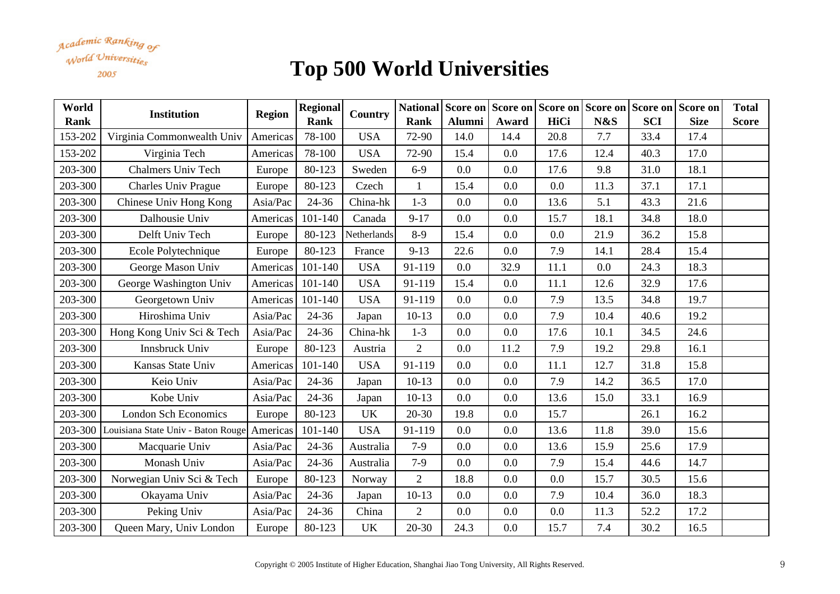Academic Ranking of World Universities 2005

| World       | <b>Institution</b>                 | <b>Region</b> | <b>Regional</b> | Country     |                |               |       | National Score on Score on Score on Score on Score on Score on |      |            |             | <b>Total</b> |
|-------------|------------------------------------|---------------|-----------------|-------------|----------------|---------------|-------|----------------------------------------------------------------|------|------------|-------------|--------------|
| <b>Rank</b> |                                    |               | <b>Rank</b>     |             | Rank           | <b>Alumni</b> | Award | HiCi                                                           | N&S  | <b>SCI</b> | <b>Size</b> | <b>Score</b> |
| 153-202     | Virginia Commonwealth Univ         | Americas      | 78-100          | <b>USA</b>  | 72-90          | 14.0          | 14.4  | 20.8                                                           | 7.7  | 33.4       | 17.4        |              |
| 153-202     | Virginia Tech                      | Americas      | 78-100          | <b>USA</b>  | 72-90          | 15.4          | 0.0   | 17.6                                                           | 12.4 | 40.3       | 17.0        |              |
| 203-300     | <b>Chalmers Univ Tech</b>          | Europe        | 80-123          | Sweden      | $6-9$          | 0.0           | 0.0   | 17.6                                                           | 9.8  | 31.0       | 18.1        |              |
| 203-300     | <b>Charles Univ Prague</b>         | Europe        | 80-123          | Czech       | $\mathbf{1}$   | 15.4          | 0.0   | 0.0                                                            | 11.3 | 37.1       | 17.1        |              |
| 203-300     | Chinese Univ Hong Kong             | Asia/Pac      | 24-36           | China-hk    | $1 - 3$        | 0.0           | 0.0   | 13.6                                                           | 5.1  | 43.3       | 21.6        |              |
| 203-300     | Dalhousie Univ                     | Americas      | 101-140         | Canada      | $9 - 17$       | 0.0           | 0.0   | 15.7                                                           | 18.1 | 34.8       | 18.0        |              |
| 203-300     | Delft Univ Tech                    | Europe        | 80-123          | Netherlands | $8-9$          | 15.4          | 0.0   | 0.0                                                            | 21.9 | 36.2       | 15.8        |              |
| 203-300     | Ecole Polytechnique                | Europe        | 80-123          | France      | $9 - 13$       | 22.6          | 0.0   | 7.9                                                            | 14.1 | 28.4       | 15.4        |              |
| 203-300     | George Mason Univ                  | Americas      | 101-140         | <b>USA</b>  | 91-119         | 0.0           | 32.9  | 11.1                                                           | 0.0  | 24.3       | 18.3        |              |
| 203-300     | George Washington Univ             | Americas      | 101-140         | <b>USA</b>  | 91-119         | 15.4          | 0.0   | 11.1                                                           | 12.6 | 32.9       | 17.6        |              |
| 203-300     | Georgetown Univ                    | Americas      | 101-140         | <b>USA</b>  | 91-119         | 0.0           | 0.0   | 7.9                                                            | 13.5 | 34.8       | 19.7        |              |
| 203-300     | Hiroshima Univ                     | Asia/Pac      | 24-36           | Japan       | $10-13$        | 0.0           | 0.0   | 7.9                                                            | 10.4 | 40.6       | 19.2        |              |
| 203-300     | Hong Kong Univ Sci & Tech          | Asia/Pac      | 24-36           | China-hk    | $1 - 3$        | 0.0           | 0.0   | 17.6                                                           | 10.1 | 34.5       | 24.6        |              |
| 203-300     | Innsbruck Univ                     | Europe        | 80-123          | Austria     | $\overline{2}$ | 0.0           | 11.2  | 7.9                                                            | 19.2 | 29.8       | 16.1        |              |
| 203-300     | Kansas State Univ                  | Americas      | 101-140         | <b>USA</b>  | 91-119         | 0.0           | 0.0   | 11.1                                                           | 12.7 | 31.8       | 15.8        |              |
| 203-300     | Keio Univ                          | Asia/Pac      | 24-36           | Japan       | $10-13$        | 0.0           | 0.0   | 7.9                                                            | 14.2 | 36.5       | 17.0        |              |
| 203-300     | Kobe Univ                          | Asia/Pac      | 24-36           | Japan       | $10-13$        | 0.0           | 0.0   | 13.6                                                           | 15.0 | 33.1       | 16.9        |              |
| 203-300     | <b>London Sch Economics</b>        | Europe        | 80-123          | <b>UK</b>   | $20 - 30$      | 19.8          | 0.0   | 15.7                                                           |      | 26.1       | 16.2        |              |
| 203-300     | Louisiana State Univ - Baton Rouge | Americas      | 101-140         | <b>USA</b>  | 91-119         | 0.0           | 0.0   | 13.6                                                           | 11.8 | 39.0       | 15.6        |              |
| 203-300     | Macquarie Univ                     | Asia/Pac      | 24-36           | Australia   | $7-9$          | 0.0           | 0.0   | 13.6                                                           | 15.9 | 25.6       | 17.9        |              |
| 203-300     | Monash Univ                        | Asia/Pac      | 24-36           | Australia   | $7-9$          | 0.0           | 0.0   | 7.9                                                            | 15.4 | 44.6       | 14.7        |              |
| 203-300     | Norwegian Univ Sci & Tech          | Europe        | 80-123          | Norway      | $\overline{2}$ | 18.8          | 0.0   | 0.0                                                            | 15.7 | 30.5       | 15.6        |              |
| 203-300     | Okayama Univ                       | Asia/Pac      | 24-36           | Japan       | $10-13$        | 0.0           | 0.0   | 7.9                                                            | 10.4 | 36.0       | 18.3        |              |
| 203-300     | Peking Univ                        | Asia/Pac      | 24-36           | China       | $\overline{2}$ | 0.0           | 0.0   | 0.0                                                            | 11.3 | 52.2       | 17.2        |              |
| 203-300     | Queen Mary, Univ London            | Europe        | 80-123          | <b>UK</b>   | $20 - 30$      | 24.3          | 0.0   | 15.7                                                           | 7.4  | 30.2       | 16.5        |              |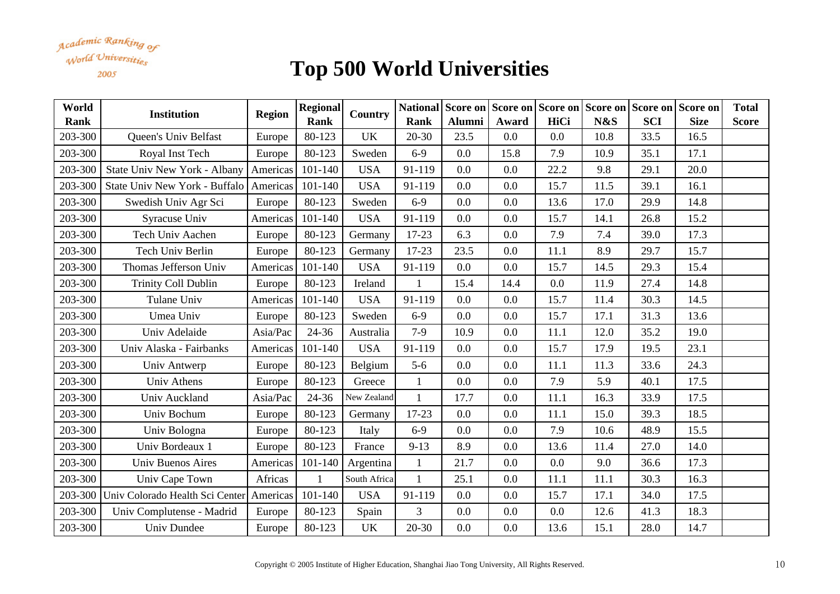

| World<br><b>Rank</b> | <b>Institution</b>              | <b>Region</b> | <b>Regional</b><br><b>Rank</b> | Country      | <b>Rank</b>    | <b>Alumni</b> | National Score on Score on Score on Score on Score on Score on<br>Award | HiCi | N&S  | <b>SCI</b> | <b>Size</b> | <b>Total</b><br><b>Score</b> |
|----------------------|---------------------------------|---------------|--------------------------------|--------------|----------------|---------------|-------------------------------------------------------------------------|------|------|------------|-------------|------------------------------|
| 203-300              | Queen's Univ Belfast            | Europe        | 80-123                         | <b>UK</b>    | $20 - 30$      | 23.5          | 0.0                                                                     | 0.0  | 10.8 | 33.5       | 16.5        |                              |
| 203-300              | Royal Inst Tech                 | Europe        | 80-123                         | Sweden       | $6-9$          | 0.0           | 15.8                                                                    | 7.9  | 10.9 | 35.1       | 17.1        |                              |
| 203-300              | State Univ New York - Albany    | Americas      | 101-140                        | <b>USA</b>   | 91-119         | 0.0           | 0.0                                                                     | 22.2 | 9.8  | 29.1       | 20.0        |                              |
| 203-300              | State Univ New York - Buffalo   | Americas      | 101-140                        | <b>USA</b>   | 91-119         | 0.0           | 0.0                                                                     | 15.7 | 11.5 | 39.1       | 16.1        |                              |
| 203-300              | Swedish Univ Agr Sci            | Europe        | 80-123                         | Sweden       | $6-9$          | 0.0           | 0.0                                                                     | 13.6 | 17.0 | 29.9       | 14.8        |                              |
| 203-300              | Syracuse Univ                   | Americas      | 101-140                        | <b>USA</b>   | 91-119         | 0.0           | 0.0                                                                     | 15.7 | 14.1 | 26.8       | 15.2        |                              |
| 203-300              | Tech Univ Aachen                | Europe        | 80-123                         | Germany      | $17 - 23$      | 6.3           | 0.0                                                                     | 7.9  | 7.4  | 39.0       | 17.3        |                              |
| 203-300              | Tech Univ Berlin                | Europe        | 80-123                         | Germany      | $17 - 23$      | 23.5          | 0.0                                                                     | 11.1 | 8.9  | 29.7       | 15.7        |                              |
| 203-300              | Thomas Jefferson Univ           | Americas      | 101-140                        | <b>USA</b>   | 91-119         | 0.0           | 0.0                                                                     | 15.7 | 14.5 | 29.3       | 15.4        |                              |
| 203-300              | <b>Trinity Coll Dublin</b>      | Europe        | 80-123                         | Ireland      | 1              | 15.4          | 14.4                                                                    | 0.0  | 11.9 | 27.4       | 14.8        |                              |
| 203-300              | Tulane Univ                     | Americas      | 101-140                        | <b>USA</b>   | 91-119         | 0.0           | 0.0                                                                     | 15.7 | 11.4 | 30.3       | 14.5        |                              |
| 203-300              | Umea Univ                       | Europe        | 80-123                         | Sweden       | $6-9$          | 0.0           | 0.0                                                                     | 15.7 | 17.1 | 31.3       | 13.6        |                              |
| 203-300              | Univ Adelaide                   | Asia/Pac      | 24-36                          | Australia    | $7-9$          | 10.9          | 0.0                                                                     | 11.1 | 12.0 | 35.2       | 19.0        |                              |
| 203-300              | Univ Alaska - Fairbanks         | Americas      | 101-140                        | <b>USA</b>   | 91-119         | 0.0           | 0.0                                                                     | 15.7 | 17.9 | 19.5       | 23.1        |                              |
| 203-300              | Univ Antwerp                    | Europe        | 80-123                         | Belgium      | $5-6$          | 0.0           | 0.0                                                                     | 11.1 | 11.3 | 33.6       | 24.3        |                              |
| 203-300              | Univ Athens                     | Europe        | 80-123                         | Greece       | $\mathbf{1}$   | 0.0           | 0.0                                                                     | 7.9  | 5.9  | 40.1       | 17.5        |                              |
| 203-300              | <b>Univ Auckland</b>            | Asia/Pac      | 24-36                          | New Zealand  | $\mathbf{1}$   | 17.7          | 0.0                                                                     | 11.1 | 16.3 | 33.9       | 17.5        |                              |
| 203-300              | Univ Bochum                     | Europe        | 80-123                         | Germany      | $17 - 23$      | 0.0           | 0.0                                                                     | 11.1 | 15.0 | 39.3       | 18.5        |                              |
| 203-300              | Univ Bologna                    | Europe        | 80-123                         | Italy        | $6 - 9$        | 0.0           | 0.0                                                                     | 7.9  | 10.6 | 48.9       | 15.5        |                              |
| 203-300              | Univ Bordeaux 1                 | Europe        | 80-123                         | France       | $9 - 13$       | 8.9           | 0.0                                                                     | 13.6 | 11.4 | 27.0       | 14.0        |                              |
| 203-300              | <b>Univ Buenos Aires</b>        | Americas      | 101-140                        | Argentina    | $\mathbf{1}$   | 21.7          | 0.0                                                                     | 0.0  | 9.0  | 36.6       | 17.3        |                              |
| 203-300              | Univ Cape Town                  | Africas       |                                | South Africa | $\mathbf{1}$   | 25.1          | 0.0                                                                     | 11.1 | 11.1 | 30.3       | 16.3        |                              |
| 203-300              | Univ Colorado Health Sci Center | Americas      | 101-140                        | <b>USA</b>   | 91-119         | 0.0           | 0.0                                                                     | 15.7 | 17.1 | 34.0       | 17.5        |                              |
| 203-300              | Univ Complutense - Madrid       | Europe        | 80-123                         | Spain        | $\overline{3}$ | 0.0           | 0.0                                                                     | 0.0  | 12.6 | 41.3       | 18.3        |                              |
| 203-300              | Univ Dundee                     | Europe        | 80-123                         | UK           | $20 - 30$      | 0.0           | 0.0                                                                     | 13.6 | 15.1 | 28.0       | 14.7        |                              |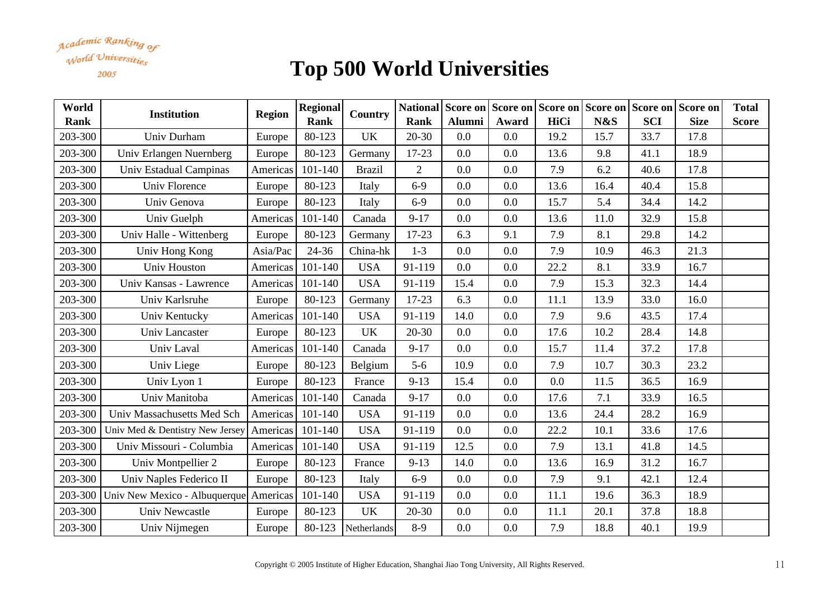Academic Ranking of World Universities 2005

| World<br><b>Rank</b> | <b>Institution</b>              | <b>Region</b> | <b>Regional</b><br><b>Rank</b> | Country       | <b>Rank</b>    | <b>Alumni</b> | Award | HiCi | National Score on Score on Score on Score on Score on Score on<br>N&S | <b>SCI</b> | <b>Size</b> | <b>Total</b><br><b>Score</b> |
|----------------------|---------------------------------|---------------|--------------------------------|---------------|----------------|---------------|-------|------|-----------------------------------------------------------------------|------------|-------------|------------------------------|
| 203-300              | Univ Durham                     | Europe        | 80-123                         | <b>UK</b>     | $20 - 30$      | 0.0           | 0.0   | 19.2 | 15.7                                                                  | 33.7       | 17.8        |                              |
| 203-300              | Univ Erlangen Nuernberg         | Europe        | 80-123                         | Germany       | $17 - 23$      | 0.0           | 0.0   | 13.6 | 9.8                                                                   | 41.1       | 18.9        |                              |
| 203-300              | Univ Estadual Campinas          | Americas      | 101-140                        | <b>Brazil</b> | $\overline{2}$ | 0.0           | 0.0   | 7.9  | 6.2                                                                   | 40.6       | 17.8        |                              |
| 203-300              | Univ Florence                   | Europe        | 80-123                         | Italy         | $6-9$          | 0.0           | 0.0   | 13.6 | 16.4                                                                  | 40.4       | 15.8        |                              |
| 203-300              | Univ Genova                     | Europe        | 80-123                         | Italy         | $6-9$          | 0.0           | 0.0   | 15.7 | 5.4                                                                   | 34.4       | 14.2        |                              |
| 203-300              | Univ Guelph                     | Americas      | 101-140                        | Canada        | $9 - 17$       | 0.0           | 0.0   | 13.6 | 11.0                                                                  | 32.9       | 15.8        |                              |
| 203-300              | Univ Halle - Wittenberg         | Europe        | 80-123                         | Germany       | $17 - 23$      | 6.3           | 9.1   | 7.9  | 8.1                                                                   | 29.8       | 14.2        |                              |
| 203-300              | Univ Hong Kong                  | Asia/Pac      | 24-36                          | China-hk      | $1-3$          | 0.0           | 0.0   | 7.9  | 10.9                                                                  | 46.3       | 21.3        |                              |
| 203-300              | Univ Houston                    | Americas      | 101-140                        | <b>USA</b>    | 91-119         | 0.0           | 0.0   | 22.2 | 8.1                                                                   | 33.9       | 16.7        |                              |
| 203-300              | Univ Kansas - Lawrence          | Americas      | 101-140                        | <b>USA</b>    | 91-119         | 15.4          | 0.0   | 7.9  | 15.3                                                                  | 32.3       | 14.4        |                              |
| 203-300              | Univ Karlsruhe                  | Europe        | 80-123                         | Germany       | $17 - 23$      | 6.3           | 0.0   | 11.1 | 13.9                                                                  | 33.0       | 16.0        |                              |
| 203-300              | Univ Kentucky                   | Americas      | 101-140                        | <b>USA</b>    | 91-119         | 14.0          | 0.0   | 7.9  | 9.6                                                                   | 43.5       | 17.4        |                              |
| 203-300              | Univ Lancaster                  | Europe        | 80-123                         | <b>UK</b>     | $20 - 30$      | 0.0           | 0.0   | 17.6 | 10.2                                                                  | 28.4       | 14.8        |                              |
| 203-300              | Univ Laval                      | Americas      | 101-140                        | Canada        | $9 - 17$       | 0.0           | 0.0   | 15.7 | 11.4                                                                  | 37.2       | 17.8        |                              |
| 203-300              | Univ Liege                      | Europe        | 80-123                         | Belgium       | $5-6$          | 10.9          | 0.0   | 7.9  | 10.7                                                                  | 30.3       | 23.2        |                              |
| 203-300              | Univ Lyon 1                     | Europe        | 80-123                         | France        | $9 - 13$       | 15.4          | 0.0   | 0.0  | 11.5                                                                  | 36.5       | 16.9        |                              |
| 203-300              | Univ Manitoba                   | Americas      | 101-140                        | Canada        | $9 - 17$       | 0.0           | 0.0   | 17.6 | 7.1                                                                   | 33.9       | 16.5        |                              |
| 203-300              | Univ Massachusetts Med Sch      | Americas      | 101-140                        | <b>USA</b>    | 91-119         | 0.0           | 0.0   | 13.6 | 24.4                                                                  | 28.2       | 16.9        |                              |
| 203-300              | Univ Med & Dentistry New Jersey | Americas      | 101-140                        | <b>USA</b>    | 91-119         | 0.0           | 0.0   | 22.2 | 10.1                                                                  | 33.6       | 17.6        |                              |
| 203-300              | Univ Missouri - Columbia        | Americas      | 101-140                        | <b>USA</b>    | 91-119         | 12.5          | 0.0   | 7.9  | 13.1                                                                  | 41.8       | 14.5        |                              |
| 203-300              | Univ Montpellier 2              | Europe        | 80-123                         | France        | $9 - 13$       | 14.0          | 0.0   | 13.6 | 16.9                                                                  | 31.2       | 16.7        |                              |
| 203-300              | Univ Naples Federico II         | Europe        | 80-123                         | Italy         | $6 - 9$        | 0.0           | 0.0   | 7.9  | 9.1                                                                   | 42.1       | 12.4        |                              |
| 203-300              | Univ New Mexico - Albuquerque   | Americas      | 101-140                        | <b>USA</b>    | 91-119         | 0.0           | 0.0   | 11.1 | 19.6                                                                  | 36.3       | 18.9        |                              |
| 203-300              | Univ Newcastle                  | Europe        | 80-123                         | <b>UK</b>     | $20 - 30$      | 0.0           | 0.0   | 11.1 | 20.1                                                                  | 37.8       | 18.8        |                              |
| 203-300              | Univ Nijmegen                   | Europe        | 80-123                         | Netherlands   | $8-9$          | 0.0           | 0.0   | 7.9  | 18.8                                                                  | 40.1       | 19.9        |                              |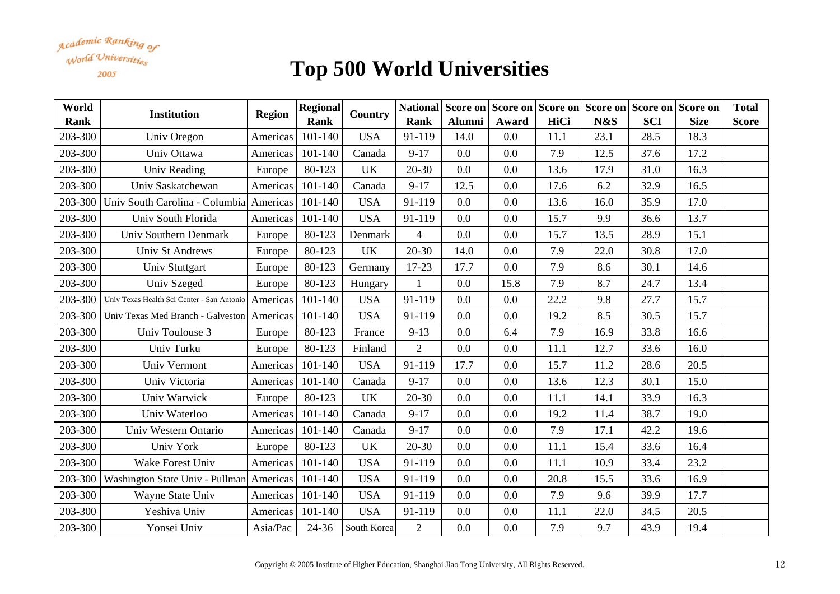Academic Ranking of World Universities 2005

| World       | <b>Institution</b>                                   | <b>Region</b> | <b>Regional</b> | Country     |                | National Score on Score on Score on Score on Score on Score on |         |      |      |            |             | <b>Total</b> |
|-------------|------------------------------------------------------|---------------|-----------------|-------------|----------------|----------------------------------------------------------------|---------|------|------|------------|-------------|--------------|
| <b>Rank</b> |                                                      |               | Rank            |             | <b>Rank</b>    | <b>Alumni</b>                                                  | Award   | HiCi | N&S  | <b>SCI</b> | <b>Size</b> | <b>Score</b> |
| 203-300     | Univ Oregon                                          | Americas      | 101-140         | <b>USA</b>  | 91-119         | 14.0                                                           | 0.0     | 11.1 | 23.1 | 28.5       | 18.3        |              |
| 203-300     | Univ Ottawa                                          | Americas      | 101-140         | Canada      | $9 - 17$       | 0.0                                                            | 0.0     | 7.9  | 12.5 | 37.6       | 17.2        |              |
| 203-300     | Univ Reading                                         | Europe        | 80-123          | UK          | 20-30          | 0.0                                                            | $0.0\,$ | 13.6 | 17.9 | 31.0       | 16.3        |              |
| 203-300     | Univ Saskatchewan                                    | Americas      | 101-140         | Canada      | $9 - 17$       | 12.5                                                           | 0.0     | 17.6 | 6.2  | 32.9       | 16.5        |              |
| 203-300     | Univ South Carolina - Columbia Americas              |               | 101-140         | <b>USA</b>  | 91-119         | 0.0                                                            | 0.0     | 13.6 | 16.0 | 35.9       | 17.0        |              |
| 203-300     | Univ South Florida                                   | Americas      | 101-140         | <b>USA</b>  | 91-119         | 0.0                                                            | 0.0     | 15.7 | 9.9  | 36.6       | 13.7        |              |
| 203-300     | Univ Southern Denmark                                | Europe        | 80-123          | Denmark     | $\overline{4}$ | 0.0                                                            | 0.0     | 15.7 | 13.5 | 28.9       | 15.1        |              |
| 203-300     | Univ St Andrews                                      | Europe        | 80-123          | <b>UK</b>   | 20-30          | 14.0                                                           | 0.0     | 7.9  | 22.0 | 30.8       | 17.0        |              |
| 203-300     | <b>Univ Stuttgart</b>                                | Europe        | 80-123          | Germany     | $17 - 23$      | 17.7                                                           | 0.0     | 7.9  | 8.6  | 30.1       | 14.6        |              |
| 203-300     | Univ Szeged                                          | Europe        | 80-123          | Hungary     | 1              | 0.0                                                            | 15.8    | 7.9  | 8.7  | 24.7       | 13.4        |              |
| 203-300     | Univ Texas Health Sci Center - San Antonio           | Americas      | 101-140         | <b>USA</b>  | 91-119         | 0.0                                                            | 0.0     | 22.2 | 9.8  | 27.7       | 15.7        |              |
| 203-300     | Univ Texas Med Branch - Galveston                    | Americas      | 101-140         | <b>USA</b>  | 91-119         | 0.0                                                            | 0.0     | 19.2 | 8.5  | 30.5       | 15.7        |              |
| 203-300     | Univ Toulouse 3                                      | Europe        | 80-123          | France      | $9 - 13$       | 0.0                                                            | 6.4     | 7.9  | 16.9 | 33.8       | 16.6        |              |
| 203-300     | Univ Turku                                           | Europe        | 80-123          | Finland     | $\overline{2}$ | 0.0                                                            | 0.0     | 11.1 | 12.7 | 33.6       | 16.0        |              |
| 203-300     | Univ Vermont                                         | Americas      | 101-140         | <b>USA</b>  | 91-119         | 17.7                                                           | 0.0     | 15.7 | 11.2 | 28.6       | 20.5        |              |
| 203-300     | Univ Victoria                                        | Americas      | 101-140         | Canada      | $9 - 17$       | 0.0                                                            | 0.0     | 13.6 | 12.3 | 30.1       | 15.0        |              |
| 203-300     | Univ Warwick                                         | Europe        | 80-123          | <b>UK</b>   | $20 - 30$      | 0.0                                                            | 0.0     | 11.1 | 14.1 | 33.9       | 16.3        |              |
| 203-300     | Univ Waterloo                                        | Americas      | 101-140         | Canada      | $9 - 17$       | 0.0                                                            | 0.0     | 19.2 | 11.4 | 38.7       | 19.0        |              |
| 203-300     | Univ Western Ontario                                 | Americas      | 101-140         | Canada      | $9 - 17$       | 0.0                                                            | 0.0     | 7.9  | 17.1 | 42.2       | 19.6        |              |
| 203-300     | Univ York                                            | Europe        | 80-123          | <b>UK</b>   | $20 - 30$      | 0.0                                                            | 0.0     | 11.1 | 15.4 | 33.6       | 16.4        |              |
| 203-300     | Wake Forest Univ                                     | Americas      | 101-140         | <b>USA</b>  | 91-119         | 0.0                                                            | 0.0     | 11.1 | 10.9 | 33.4       | 23.2        |              |
|             | 203-300   Washington State Univ - Pullman   Americas |               | 101-140         | <b>USA</b>  | 91-119         | 0.0                                                            | 0.0     | 20.8 | 15.5 | 33.6       | 16.9        |              |
| 203-300     | Wayne State Univ                                     | Americas      | 101-140         | <b>USA</b>  | 91-119         | 0.0                                                            | 0.0     | 7.9  | 9.6  | 39.9       | 17.7        |              |
| 203-300     | Yeshiva Univ                                         | Americas      | 101-140         | <b>USA</b>  | 91-119         | 0.0                                                            | 0.0     | 11.1 | 22.0 | 34.5       | 20.5        |              |
| 203-300     | Yonsei Univ                                          | Asia/Pac      | 24-36           | South Korea | $\overline{2}$ | 0.0                                                            | 0.0     | 7.9  | 9.7  | 43.9       | 19.4        |              |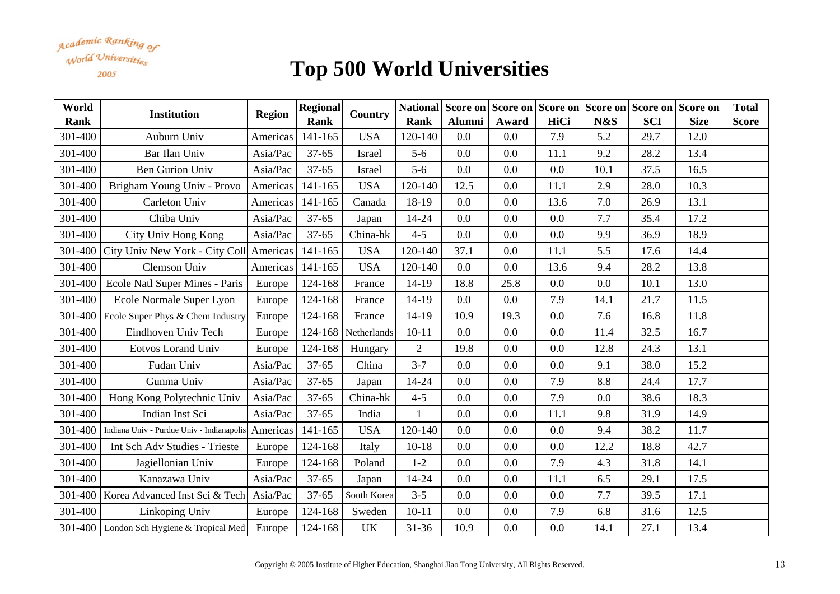Academic Ranking of World Universities 2005

| World<br>Rank | <b>Institution</b>                        | <b>Region</b> | <b>Regional</b><br>Rank | Country     | Rank           | <b>Alumni</b> | Award | National Score on Score on Score on Score on Score on Score on<br>HiCi | N&S  | <b>SCI</b> | <b>Size</b> | <b>Total</b><br><b>Score</b> |
|---------------|-------------------------------------------|---------------|-------------------------|-------------|----------------|---------------|-------|------------------------------------------------------------------------|------|------------|-------------|------------------------------|
| 301-400       | Auburn Univ                               | Americas      | 141-165                 | <b>USA</b>  | 120-140        | 0.0           | 0.0   | 7.9                                                                    | 5.2  | 29.7       | 12.0        |                              |
| 301-400       | Bar Ilan Univ                             | Asia/Pac      | $37 - 65$               | Israel      | $5-6$          | 0.0           | 0.0   | 11.1                                                                   | 9.2  | 28.2       | 13.4        |                              |
| 301-400       | <b>Ben Gurion Univ</b>                    | Asia/Pac      | $37 - 65$               | Israel      | $5-6$          | 0.0           | 0.0   | 0.0                                                                    | 10.1 | 37.5       | 16.5        |                              |
| 301-400       | Brigham Young Univ - Provo                | Americas      | 141-165                 | <b>USA</b>  | 120-140        | 12.5          | 0.0   | 11.1                                                                   | 2.9  | 28.0       | 10.3        |                              |
| 301-400       | Carleton Univ                             | Americas      | 141-165                 | Canada      | 18-19          | 0.0           | 0.0   | 13.6                                                                   | 7.0  | 26.9       | 13.1        |                              |
| 301-400       | Chiba Univ                                | Asia/Pac      | $37 - 65$               | Japan       | 14-24          | 0.0           | 0.0   | 0.0                                                                    | 7.7  | 35.4       | 17.2        |                              |
| 301-400       | City Univ Hong Kong                       | Asia/Pac      | $37 - 65$               | China-hk    | $4 - 5$        | 0.0           | 0.0   | 0.0                                                                    | 9.9  | 36.9       | 18.9        |                              |
| 301-400       | City Univ New York - City Coll Americas   |               | 141-165                 | <b>USA</b>  | 120-140        | 37.1          | 0.0   | 11.1                                                                   | 5.5  | 17.6       | 14.4        |                              |
| 301-400       | Clemson Univ                              | Americas      | 141-165                 | <b>USA</b>  | 120-140        | 0.0           | 0.0   | 13.6                                                                   | 9.4  | 28.2       | 13.8        |                              |
| 301-400       | Ecole Natl Super Mines - Paris            | Europe        | 124-168                 | France      | $14-19$        | 18.8          | 25.8  | 0.0                                                                    | 0.0  | 10.1       | 13.0        |                              |
| 301-400       | Ecole Normale Super Lyon                  | Europe        | 124-168                 | France      | 14-19          | 0.0           | 0.0   | 7.9                                                                    | 14.1 | 21.7       | 11.5        |                              |
|               | 301-400 Ecole Super Phys & Chem Industry  | Europe        | 124-168                 | France      | 14-19          | 10.9          | 19.3  | 0.0                                                                    | 7.6  | 16.8       | 11.8        |                              |
| 301-400       | Eindhoven Univ Tech                       | Europe        | 124-168                 | Netherlands | $10 - 11$      | 0.0           | 0.0   | 0.0                                                                    | 11.4 | 32.5       | 16.7        |                              |
| 301-400       | <b>Eotvos Lorand Univ</b>                 | Europe        | 124-168                 | Hungary     | $\overline{2}$ | 19.8          | 0.0   | 0.0                                                                    | 12.8 | 24.3       | 13.1        |                              |
| 301-400       | Fudan Univ                                | Asia/Pac      | $37 - 65$               | China       | $3 - 7$        | 0.0           | 0.0   | 0.0                                                                    | 9.1  | 38.0       | 15.2        |                              |
| 301-400       | Gunma Univ                                | Asia/Pac      | $37 - 65$               | Japan       | 14-24          | 0.0           | 0.0   | 7.9                                                                    | 8.8  | 24.4       | 17.7        |                              |
| 301-400       | Hong Kong Polytechnic Univ                | Asia/Pac      | $37 - 65$               | China-hk    | $4 - 5$        | 0.0           | 0.0   | 7.9                                                                    | 0.0  | 38.6       | 18.3        |                              |
| 301-400       | Indian Inst Sci                           | Asia/Pac      | $37 - 65$               | India       | $\mathbf{1}$   | 0.0           | 0.0   | 11.1                                                                   | 9.8  | 31.9       | 14.9        |                              |
| 301-400       | Indiana Univ - Purdue Univ - Indianapolis | Americas      | 141-165                 | <b>USA</b>  | 120-140        | 0.0           | 0.0   | 0.0                                                                    | 9.4  | 38.2       | 11.7        |                              |
| 301-400       | Int Sch Adv Studies - Trieste             | Europe        | 124-168                 | Italy       | $10 - 18$      | 0.0           | 0.0   | 0.0                                                                    | 12.2 | 18.8       | 42.7        |                              |
| 301-400       | Jagiellonian Univ                         | Europe        | 124-168                 | Poland      | $1 - 2$        | 0.0           | 0.0   | 7.9                                                                    | 4.3  | 31.8       | 14.1        |                              |
| 301-400       | Kanazawa Univ                             | Asia/Pac      | $37 - 65$               | Japan       | 14-24          | 0.0           | 0.0   | 11.1                                                                   | 6.5  | 29.1       | 17.5        |                              |
| 301-400       | Korea Advanced Inst Sci & Tech            | Asia/Pac      | $37 - 65$               | South Korea | $3 - 5$        | 0.0           | 0.0   | 0.0                                                                    | 7.7  | 39.5       | 17.1        |                              |
| 301-400       | Linkoping Univ                            | Europe        | 124-168                 | Sweden      | $10 - 11$      | 0.0           | 0.0   | 7.9                                                                    | 6.8  | 31.6       | 12.5        |                              |
|               | 301-400 London Sch Hygiene & Tropical Med | Europe        | 124-168                 | UK          | $31 - 36$      | 10.9          | 0.0   | 0.0                                                                    | 14.1 | 27.1       | 13.4        |                              |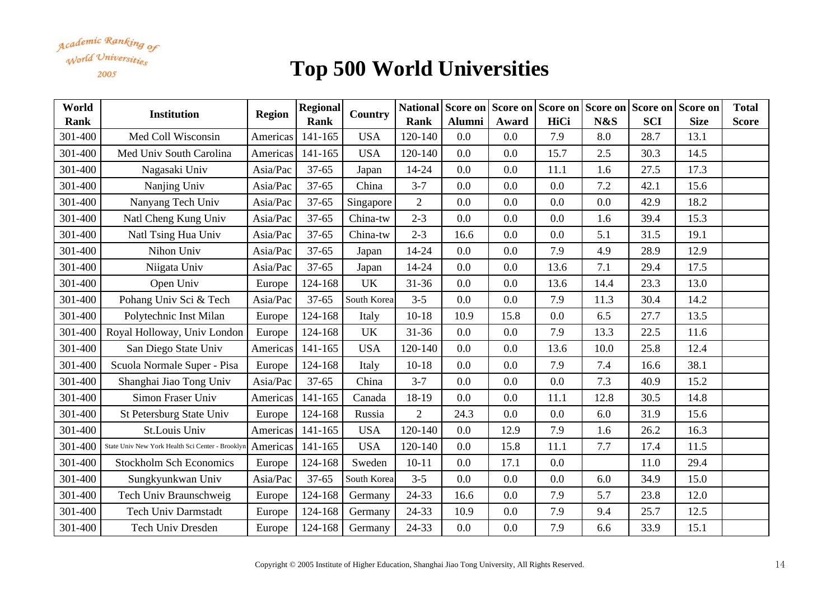Academic Ranking of World Universities 2005

| World<br>Rank | <b>Institution</b>                               | <b>Region</b> | <b>Regional</b><br>Rank | Country     | Rank           | <b>Alumni</b> | Award | National Score on Score on Score on Score on Score on Score on<br>HiCi | N&S  | <b>SCI</b> | <b>Size</b> | <b>Total</b><br><b>Score</b> |
|---------------|--------------------------------------------------|---------------|-------------------------|-------------|----------------|---------------|-------|------------------------------------------------------------------------|------|------------|-------------|------------------------------|
| 301-400       | Med Coll Wisconsin                               | Americas      | 141-165                 | <b>USA</b>  | 120-140        | 0.0           | 0.0   | 7.9                                                                    | 8.0  | 28.7       | 13.1        |                              |
| 301-400       | Med Univ South Carolina                          | Americas      | 141-165                 | <b>USA</b>  | 120-140        | 0.0           | 0.0   | 15.7                                                                   | 2.5  | 30.3       | 14.5        |                              |
| 301-400       | Nagasaki Univ                                    | Asia/Pac      | $37 - 65$               | Japan       | 14-24          | 0.0           | 0.0   | 11.1                                                                   | 1.6  | 27.5       | 17.3        |                              |
| 301-400       | Nanjing Univ                                     | Asia/Pac      | $37 - 65$               | China       | $3 - 7$        | 0.0           | 0.0   | 0.0                                                                    | 7.2  | 42.1       | 15.6        |                              |
| 301-400       | Nanyang Tech Univ                                | Asia/Pac      | $37 - 65$               | Singapore   | $\overline{2}$ | 0.0           | 0.0   | 0.0                                                                    | 0.0  | 42.9       | 18.2        |                              |
| 301-400       | Natl Cheng Kung Univ                             | Asia/Pac      | $37 - 65$               | China-tw    | $2 - 3$        | 0.0           | 0.0   | 0.0                                                                    | 1.6  | 39.4       | 15.3        |                              |
| 301-400       | Natl Tsing Hua Univ                              | Asia/Pac      | $37 - 65$               | China-tw    | $2 - 3$        | 16.6          | 0.0   | 0.0                                                                    | 5.1  | 31.5       | 19.1        |                              |
| 301-400       | Nihon Univ                                       | Asia/Pac      | $37 - 65$               | Japan       | 14-24          | 0.0           | 0.0   | 7.9                                                                    | 4.9  | 28.9       | 12.9        |                              |
| 301-400       | Niigata Univ                                     | Asia/Pac      | $37 - 65$               | Japan       | 14-24          | 0.0           | 0.0   | 13.6                                                                   | 7.1  | 29.4       | 17.5        |                              |
| 301-400       | Open Univ                                        | Europe        | 124-168                 | <b>UK</b>   | $31 - 36$      | 0.0           | 0.0   | 13.6                                                                   | 14.4 | 23.3       | 13.0        |                              |
| 301-400       | Pohang Univ Sci & Tech                           | Asia/Pac      | $37 - 65$               | South Korea | $3 - 5$        | 0.0           | 0.0   | 7.9                                                                    | 11.3 | 30.4       | 14.2        |                              |
| 301-400       | Polytechnic Inst Milan                           | Europe        | 124-168                 | Italy       | $10 - 18$      | 10.9          | 15.8  | 0.0                                                                    | 6.5  | 27.7       | 13.5        |                              |
| 301-400       | Royal Holloway, Univ London                      | Europe        | 124-168                 | <b>UK</b>   | $31 - 36$      | 0.0           | 0.0   | 7.9                                                                    | 13.3 | 22.5       | 11.6        |                              |
| 301-400       | San Diego State Univ                             | Americas      | 141-165                 | <b>USA</b>  | 120-140        | 0.0           | 0.0   | 13.6                                                                   | 10.0 | 25.8       | 12.4        |                              |
| 301-400       | Scuola Normale Super - Pisa                      | Europe        | 124-168                 | Italy       | $10-18$        | 0.0           | 0.0   | 7.9                                                                    | 7.4  | 16.6       | 38.1        |                              |
| 301-400       | Shanghai Jiao Tong Univ                          | Asia/Pac      | $37 - 65$               | China       | $3 - 7$        | 0.0           | 0.0   | 0.0                                                                    | 7.3  | 40.9       | 15.2        |                              |
| 301-400       | Simon Fraser Univ                                | Americas      | 141-165                 | Canada      | 18-19          | 0.0           | 0.0   | 11.1                                                                   | 12.8 | 30.5       | 14.8        |                              |
| 301-400       | St Petersburg State Univ                         | Europe        | 124-168                 | Russia      | $\overline{2}$ | 24.3          | 0.0   | 0.0                                                                    | 6.0  | 31.9       | 15.6        |                              |
| 301-400       | St.Louis Univ                                    | Americas      | 141-165                 | <b>USA</b>  | 120-140        | 0.0           | 12.9  | 7.9                                                                    | 1.6  | 26.2       | 16.3        |                              |
| 301-400       | State Univ New York Health Sci Center - Brooklyn | Americas      | 141-165                 | <b>USA</b>  | 120-140        | 0.0           | 15.8  | 11.1                                                                   | 7.7  | 17.4       | 11.5        |                              |
| 301-400       | <b>Stockholm Sch Economics</b>                   | Europe        | 124-168                 | Sweden      | $10 - 11$      | 0.0           | 17.1  | 0.0                                                                    |      | 11.0       | 29.4        |                              |
| 301-400       | Sungkyunkwan Univ                                | Asia/Pac      | $37 - 65$               | South Korea | $3 - 5$        | 0.0           | 0.0   | 0.0                                                                    | 6.0  | 34.9       | 15.0        |                              |
| 301-400       | Tech Univ Braunschweig                           | Europe        | 124-168                 | Germany     | 24-33          | 16.6          | 0.0   | 7.9                                                                    | 5.7  | 23.8       | 12.0        |                              |
| 301-400       | <b>Tech Univ Darmstadt</b>                       | Europe        | 124-168                 | Germany     | 24-33          | 10.9          | 0.0   | 7.9                                                                    | 9.4  | 25.7       | 12.5        |                              |
| 301-400       | Tech Univ Dresden                                | Europe        | 124-168                 | Germany     | 24-33          | 0.0           | 0.0   | 7.9                                                                    | 6.6  | 33.9       | 15.1        |                              |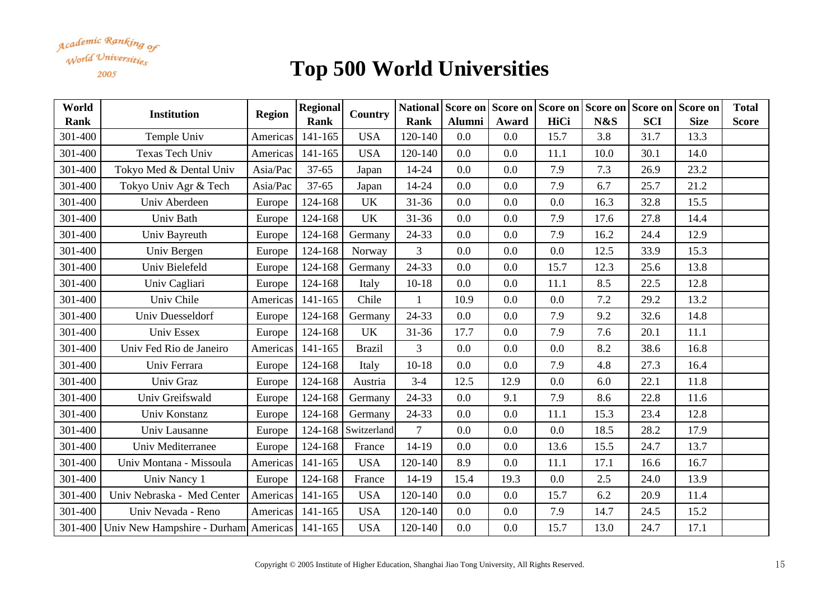Academic Ranking of World Universities 2005

| World       | <b>Institution</b>                                   | <b>Region</b> | <b>Regional</b> | Country       |                | National Score on Score on Score on Score on Score on Score on |         |      |      |            |             | <b>Total</b> |
|-------------|------------------------------------------------------|---------------|-----------------|---------------|----------------|----------------------------------------------------------------|---------|------|------|------------|-------------|--------------|
| <b>Rank</b> |                                                      |               | <b>Rank</b>     |               | Rank           | <b>Alumni</b>                                                  | Award   | HiCi | N&S  | <b>SCI</b> | <b>Size</b> | <b>Score</b> |
| 301-400     | Temple Univ                                          | Americas      | 141-165         | <b>USA</b>    | 120-140        | 0.0                                                            | 0.0     | 15.7 | 3.8  | 31.7       | 13.3        |              |
| 301-400     | Texas Tech Univ                                      | Americas      | 141-165         | <b>USA</b>    | 120-140        | 0.0                                                            | 0.0     | 11.1 | 10.0 | 30.1       | 14.0        |              |
| 301-400     | Tokyo Med & Dental Univ                              | Asia/Pac      | $37 - 65$       | Japan         | 14-24          | 0.0                                                            | $0.0\,$ | 7.9  | 7.3  | 26.9       | 23.2        |              |
| 301-400     | Tokyo Univ Agr & Tech                                | Asia/Pac      | $37 - 65$       | Japan         | 14-24          | 0.0                                                            | 0.0     | 7.9  | 6.7  | 25.7       | 21.2        |              |
| 301-400     | Univ Aberdeen                                        | Europe        | 124-168         | UK            | $31 - 36$      | 0.0                                                            | 0.0     | 0.0  | 16.3 | 32.8       | 15.5        |              |
| 301-400     | Univ Bath                                            | Europe        | 124-168         | <b>UK</b>     | $31 - 36$      | 0.0                                                            | 0.0     | 7.9  | 17.6 | 27.8       | 14.4        |              |
| 301-400     | Univ Bayreuth                                        | Europe        | 124-168         | Germany       | 24-33          | 0.0                                                            | 0.0     | 7.9  | 16.2 | 24.4       | 12.9        |              |
| 301-400     | Univ Bergen                                          | Europe        | 124-168         | Norway        | $\overline{3}$ | 0.0                                                            | 0.0     | 0.0  | 12.5 | 33.9       | 15.3        |              |
| 301-400     | Univ Bielefeld                                       | Europe        | 124-168         | Germany       | 24-33          | 0.0                                                            | 0.0     | 15.7 | 12.3 | 25.6       | 13.8        |              |
| 301-400     | Univ Cagliari                                        | Europe        | 124-168         | Italy         | $10-18$        | 0.0                                                            | 0.0     | 11.1 | 8.5  | 22.5       | 12.8        |              |
| 301-400     | Univ Chile                                           | Americas      | 141-165         | Chile         |                | 10.9                                                           | 0.0     | 0.0  | 7.2  | 29.2       | 13.2        |              |
| 301-400     | <b>Univ Duesseldorf</b>                              | Europe        | 124-168         | Germany       | 24-33          | 0.0                                                            | 0.0     | 7.9  | 9.2  | 32.6       | 14.8        |              |
| 301-400     | Univ Essex                                           | Europe        | 124-168         | <b>UK</b>     | $31 - 36$      | 17.7                                                           | 0.0     | 7.9  | 7.6  | 20.1       | 11.1        |              |
| 301-400     | Univ Fed Rio de Janeiro                              | Americas      | 141-165         | <b>Brazil</b> | $\overline{3}$ | 0.0                                                            | 0.0     | 0.0  | 8.2  | 38.6       | 16.8        |              |
| 301-400     | Univ Ferrara                                         | Europe        | 124-168         | Italy         | $10 - 18$      | 0.0                                                            | 0.0     | 7.9  | 4.8  | 27.3       | 16.4        |              |
| 301-400     | Univ Graz                                            | Europe        | 124-168         | Austria       | $3-4$          | 12.5                                                           | 12.9    | 0.0  | 6.0  | 22.1       | 11.8        |              |
| 301-400     | Univ Greifswald                                      | Europe        | 124-168         | Germany       | 24-33          | 0.0                                                            | 9.1     | 7.9  | 8.6  | 22.8       | 11.6        |              |
| 301-400     | Univ Konstanz                                        | Europe        | 124-168         | Germany       | 24-33          | 0.0                                                            | 0.0     | 11.1 | 15.3 | 23.4       | 12.8        |              |
| 301-400     | Univ Lausanne                                        | Europe        | 124-168         | Switzerland   | $\overline{7}$ | 0.0                                                            | 0.0     | 0.0  | 18.5 | 28.2       | 17.9        |              |
| 301-400     | Univ Mediterranee                                    | Europe        | 124-168         | France        | $14-19$        | 0.0                                                            | 0.0     | 13.6 | 15.5 | 24.7       | 13.7        |              |
| 301-400     | Univ Montana - Missoula                              | Americas      | 141-165         | <b>USA</b>    | 120-140        | 8.9                                                            | 0.0     | 11.1 | 17.1 | 16.6       | 16.7        |              |
| 301-400     | Univ Nancy 1                                         | Europe        | 124-168         | France        | $14-19$        | 15.4                                                           | 19.3    | 0.0  | 2.5  | 24.0       | 13.9        |              |
| 301-400     | Univ Nebraska - Med Center                           | Americas      | 141-165         | <b>USA</b>    | 120-140        | 0.0                                                            | 0.0     | 15.7 | 6.2  | 20.9       | 11.4        |              |
| 301-400     | Univ Nevada - Reno                                   | Americas      | 141-165         | <b>USA</b>    | 120-140        | 0.0                                                            | 0.0     | 7.9  | 14.7 | 24.5       | 15.2        |              |
|             | 301-400 Univ New Hampshire - Durham Americas 141-165 |               |                 | <b>USA</b>    | 120-140        | 0.0                                                            | 0.0     | 15.7 | 13.0 | 24.7       | 17.1        |              |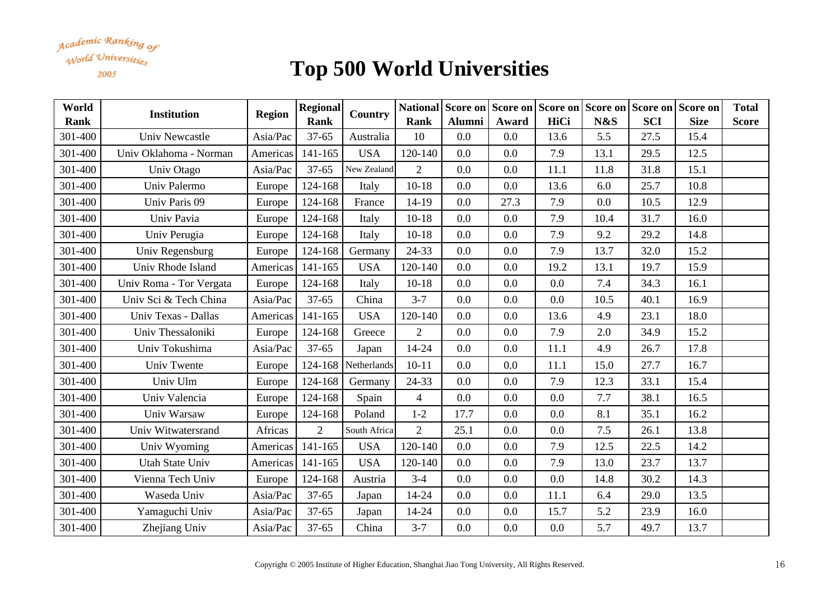Academic Ranking of World Universities 2005

| World<br><b>Rank</b> | <b>Institution</b>      | <b>Region</b> | Regional<br>Rank | Country      | <b>Rank</b>    | <b>Alumni</b> | Award   | National Score on Score on Score on Score on Score on Score on<br>HiCi | N&S  | <b>SCI</b> | <b>Size</b> | <b>Total</b><br><b>Score</b> |
|----------------------|-------------------------|---------------|------------------|--------------|----------------|---------------|---------|------------------------------------------------------------------------|------|------------|-------------|------------------------------|
| 301-400              | Univ Newcastle          | Asia/Pac      | $37 - 65$        | Australia    | 10             | 0.0           | 0.0     | 13.6                                                                   | 5.5  | 27.5       | 15.4        |                              |
| 301-400              | Univ Oklahoma - Norman  | Americas      | 141-165          | <b>USA</b>   | 120-140        | 0.0           | 0.0     | 7.9                                                                    | 13.1 | 29.5       | 12.5        |                              |
| 301-400              | Univ Otago              | Asia/Pac      | $37 - 65$        | New Zealand  | $\overline{2}$ | 0.0           | $0.0\,$ | 11.1                                                                   | 11.8 | 31.8       | 15.1        |                              |
| 301-400              | Univ Palermo            | Europe        | 124-168          | Italy        | $10-18$        | 0.0           | 0.0     | 13.6                                                                   | 6.0  | 25.7       | 10.8        |                              |
| 301-400              | Univ Paris 09           | Europe        | 124-168          | France       | $14-19$        | 0.0           | 27.3    | 7.9                                                                    | 0.0  | 10.5       | 12.9        |                              |
| 301-400              | Univ Pavia              | Europe        | 124-168          | Italy        | $10-18$        | 0.0           | 0.0     | 7.9                                                                    | 10.4 | 31.7       | 16.0        |                              |
| 301-400              | Univ Perugia            | Europe        | 124-168          | Italy        | $10 - 18$      | 0.0           | 0.0     | 7.9                                                                    | 9.2  | 29.2       | 14.8        |                              |
| 301-400              | Univ Regensburg         | Europe        | 124-168          | Germany      | 24-33          | 0.0           | 0.0     | 7.9                                                                    | 13.7 | 32.0       | 15.2        |                              |
| 301-400              | Univ Rhode Island       | Americas      | 141-165          | <b>USA</b>   | 120-140        | 0.0           | 0.0     | 19.2                                                                   | 13.1 | 19.7       | 15.9        |                              |
| 301-400              | Univ Roma - Tor Vergata | Europe        | 124-168          | Italy        | $10-18$        | 0.0           | 0.0     | 0.0                                                                    | 7.4  | 34.3       | 16.1        |                              |
| 301-400              | Univ Sci & Tech China   | Asia/Pac      | $37 - 65$        | China        | $3 - 7$        | 0.0           | 0.0     | 0.0                                                                    | 10.5 | 40.1       | 16.9        |                              |
| 301-400              | Univ Texas - Dallas     | Americas      | 141-165          | <b>USA</b>   | 120-140        | 0.0           | 0.0     | 13.6                                                                   | 4.9  | 23.1       | 18.0        |                              |
| 301-400              | Univ Thessaloniki       | Europe        | 124-168          | Greece       | $\overline{2}$ | 0.0           | 0.0     | 7.9                                                                    | 2.0  | 34.9       | 15.2        |                              |
| 301-400              | Univ Tokushima          | Asia/Pac      | $37 - 65$        | Japan        | 14-24          | 0.0           | 0.0     | 11.1                                                                   | 4.9  | 26.7       | 17.8        |                              |
| 301-400              | Univ Twente             | Europe        | 124-168          | Netherlands  | $10 - 11$      | 0.0           | 0.0     | 11.1                                                                   | 15.0 | 27.7       | 16.7        |                              |
| 301-400              | Univ Ulm                | Europe        | 124-168          | Germany      | 24-33          | 0.0           | 0.0     | 7.9                                                                    | 12.3 | 33.1       | 15.4        |                              |
| 301-400              | Univ Valencia           | Europe        | 124-168          | Spain        | $\overline{4}$ | 0.0           | 0.0     | 0.0                                                                    | 7.7  | 38.1       | 16.5        |                              |
| 301-400              | Univ Warsaw             | Europe        | 124-168          | Poland       | $1 - 2$        | 17.7          | 0.0     | 0.0                                                                    | 8.1  | 35.1       | 16.2        |                              |
| 301-400              | Univ Witwatersrand      | Africas       | $\overline{2}$   | South Africa | $\overline{2}$ | 25.1          | 0.0     | 0.0                                                                    | 7.5  | 26.1       | 13.8        |                              |
| 301-400              | Univ Wyoming            | Americas      | 141-165          | <b>USA</b>   | 120-140        | 0.0           | 0.0     | 7.9                                                                    | 12.5 | 22.5       | 14.2        |                              |
| 301-400              | <b>Utah State Univ</b>  | Americas      | 141-165          | <b>USA</b>   | 120-140        | 0.0           | 0.0     | 7.9                                                                    | 13.0 | 23.7       | 13.7        |                              |
| 301-400              | Vienna Tech Univ        | Europe        | 124-168          | Austria      | $3 - 4$        | 0.0           | 0.0     | 0.0                                                                    | 14.8 | 30.2       | 14.3        |                              |
| 301-400              | Waseda Univ             | Asia/Pac      | $37 - 65$        | Japan        | 14-24          | 0.0           | 0.0     | 11.1                                                                   | 6.4  | 29.0       | 13.5        |                              |
| 301-400              | Yamaguchi Univ          | Asia/Pac      | $37 - 65$        | Japan        | 14-24          | 0.0           | 0.0     | 15.7                                                                   | 5.2  | 23.9       | 16.0        |                              |
| 301-400              | Zhejiang Univ           | Asia/Pac      | $37 - 65$        | China        | $3 - 7$        | 0.0           | 0.0     | 0.0                                                                    | 5.7  | 49.7       | 13.7        |                              |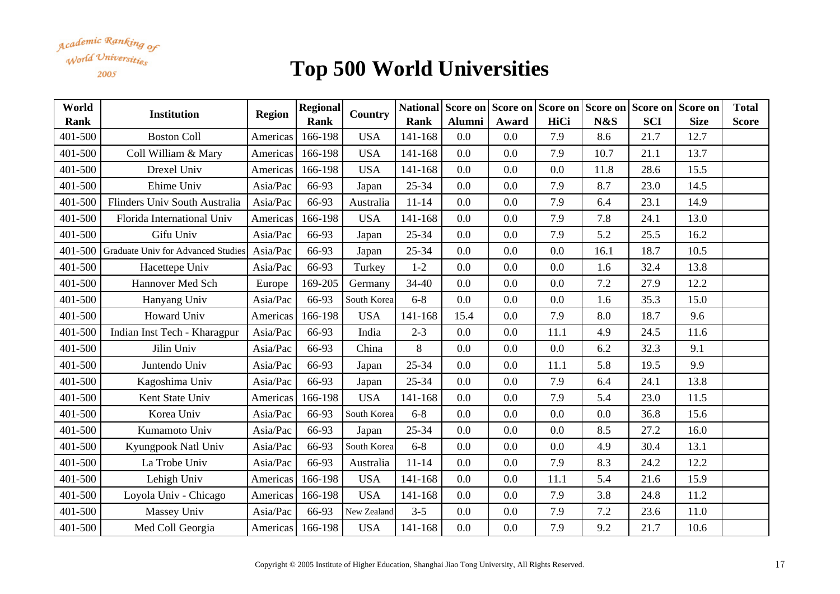Academic Ranking of World Universities 2005

| World   | <b>Institution</b>                         | <b>Region</b> | <b>Regional</b> | Country     |           |               |       | National Score on Score on Score on Score on Score on Score on |      |            |             | <b>Total</b> |
|---------|--------------------------------------------|---------------|-----------------|-------------|-----------|---------------|-------|----------------------------------------------------------------|------|------------|-------------|--------------|
| Rank    |                                            |               | Rank            |             | Rank      | <b>Alumni</b> | Award | HiCi                                                           | N&S  | <b>SCI</b> | <b>Size</b> | <b>Score</b> |
| 401-500 | <b>Boston Coll</b>                         | Americas      | 166-198         | <b>USA</b>  | 141-168   | 0.0           | 0.0   | 7.9                                                            | 8.6  | 21.7       | 12.7        |              |
| 401-500 | Coll William & Mary                        | Americas      | 166-198         | <b>USA</b>  | 141-168   | 0.0           | 0.0   | 7.9                                                            | 10.7 | 21.1       | 13.7        |              |
| 401-500 | Drexel Univ                                | Americas      | 166-198         | <b>USA</b>  | 141-168   | 0.0           | 0.0   | 0.0                                                            | 11.8 | 28.6       | 15.5        |              |
| 401-500 | Ehime Univ                                 | Asia/Pac      | 66-93           | Japan       | 25-34     | 0.0           | 0.0   | 7.9                                                            | 8.7  | 23.0       | 14.5        |              |
| 401-500 | Flinders Univ South Australia              | Asia/Pac      | 66-93           | Australia   | $11 - 14$ | 0.0           | 0.0   | 7.9                                                            | 6.4  | 23.1       | 14.9        |              |
| 401-500 | Florida International Univ                 | Americas      | 166-198         | <b>USA</b>  | 141-168   | 0.0           | 0.0   | 7.9                                                            | 7.8  | 24.1       | 13.0        |              |
| 401-500 | Gifu Univ                                  | Asia/Pac      | 66-93           | Japan       | 25-34     | 0.0           | 0.0   | 7.9                                                            | 5.2  | 25.5       | 16.2        |              |
|         | 401-500 Graduate Univ for Advanced Studies | Asia/Pac      | 66-93           | Japan       | 25-34     | 0.0           | 0.0   | 0.0                                                            | 16.1 | 18.7       | 10.5        |              |
| 401-500 | Hacettepe Univ                             | Asia/Pac      | 66-93           | Turkey      | $1-2$     | 0.0           | 0.0   | 0.0                                                            | 1.6  | 32.4       | 13.8        |              |
| 401-500 | Hannover Med Sch                           | Europe        | 169-205         | Germany     | 34-40     | 0.0           | 0.0   | 0.0                                                            | 7.2  | 27.9       | 12.2        |              |
| 401-500 | Hanyang Univ                               | Asia/Pac      | 66-93           | South Korea | $6 - 8$   | 0.0           | 0.0   | 0.0                                                            | 1.6  | 35.3       | 15.0        |              |
| 401-500 | Howard Univ                                | Americas      | 166-198         | <b>USA</b>  | 141-168   | 15.4          | 0.0   | 7.9                                                            | 8.0  | 18.7       | 9.6         |              |
| 401-500 | Indian Inst Tech - Kharagpur               | Asia/Pac      | 66-93           | India       | $2 - 3$   | 0.0           | 0.0   | 11.1                                                           | 4.9  | 24.5       | 11.6        |              |
| 401-500 | Jilin Univ                                 | Asia/Pac      | 66-93           | China       | 8         | 0.0           | 0.0   | 0.0                                                            | 6.2  | 32.3       | 9.1         |              |
| 401-500 | Juntendo Univ                              | Asia/Pac      | 66-93           | Japan       | 25-34     | 0.0           | 0.0   | 11.1                                                           | 5.8  | 19.5       | 9.9         |              |
| 401-500 | Kagoshima Univ                             | Asia/Pac      | 66-93           | Japan       | 25-34     | 0.0           | 0.0   | 7.9                                                            | 6.4  | 24.1       | 13.8        |              |
| 401-500 | Kent State Univ                            | Americas      | 166-198         | <b>USA</b>  | 141-168   | 0.0           | 0.0   | 7.9                                                            | 5.4  | 23.0       | 11.5        |              |
| 401-500 | Korea Univ                                 | Asia/Pac      | 66-93           | South Korea | $6 - 8$   | 0.0           | 0.0   | 0.0                                                            | 0.0  | 36.8       | 15.6        |              |
| 401-500 | Kumamoto Univ                              | Asia/Pac      | 66-93           | Japan       | $25 - 34$ | 0.0           | 0.0   | 0.0                                                            | 8.5  | 27.2       | 16.0        |              |
| 401-500 | Kyungpook Natl Univ                        | Asia/Pac      | 66-93           | South Korea | $6 - 8$   | 0.0           | 0.0   | 0.0                                                            | 4.9  | 30.4       | 13.1        |              |
| 401-500 | La Trobe Univ                              | Asia/Pac      | 66-93           | Australia   | $11 - 14$ | 0.0           | 0.0   | 7.9                                                            | 8.3  | 24.2       | 12.2        |              |
| 401-500 | Lehigh Univ                                | Americas      | 166-198         | <b>USA</b>  | 141-168   | 0.0           | 0.0   | 11.1                                                           | 5.4  | 21.6       | 15.9        |              |
| 401-500 | Loyola Univ - Chicago                      | Americas      | 166-198         | <b>USA</b>  | 141-168   | 0.0           | 0.0   | 7.9                                                            | 3.8  | 24.8       | 11.2        |              |
| 401-500 | Massey Univ                                | Asia/Pac      | 66-93           | New Zealand | $3 - 5$   | 0.0           | 0.0   | 7.9                                                            | 7.2  | 23.6       | 11.0        |              |
| 401-500 | Med Coll Georgia                           | Americas      | 166-198         | <b>USA</b>  | 141-168   | 0.0           | 0.0   | 7.9                                                            | 9.2  | 21.7       | 10.6        |              |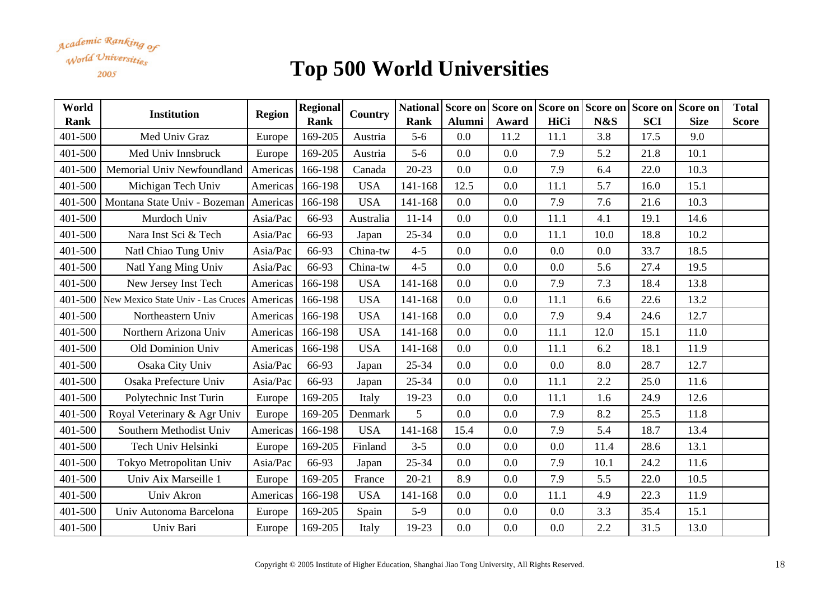Academic Ranking of World Universities 2005

| World       | <b>Institution</b>                 | <b>Region</b> | <b>Regional</b><br><b>Rank</b> | Country    | Rank      |               |       | National Score on Score on Score on Score on Score on Score on<br>HiCi | N&S  | <b>SCI</b> | <b>Size</b> | <b>Total</b> |
|-------------|------------------------------------|---------------|--------------------------------|------------|-----------|---------------|-------|------------------------------------------------------------------------|------|------------|-------------|--------------|
| <b>Rank</b> |                                    |               |                                |            |           | <b>Alumni</b> | Award |                                                                        |      |            |             | <b>Score</b> |
| 401-500     | Med Univ Graz                      | Europe        | 169-205                        | Austria    | $5-6$     | 0.0           | 11.2  | 11.1                                                                   | 3.8  | 17.5       | 9.0         |              |
| 401-500     | Med Univ Innsbruck                 | Europe        | 169-205                        | Austria    | $5-6$     | 0.0           | 0.0   | 7.9                                                                    | 5.2  | 21.8       | 10.1        |              |
| 401-500     | Memorial Univ Newfoundland         | Americas      | 166-198                        | Canada     | $20 - 23$ | 0.0           | 0.0   | 7.9                                                                    | 6.4  | 22.0       | 10.3        |              |
| 401-500     | Michigan Tech Univ                 | Americas      | 166-198                        | <b>USA</b> | 141-168   | 12.5          | 0.0   | 11.1                                                                   | 5.7  | 16.0       | 15.1        |              |
| 401-500     | Montana State Univ - Bozeman       | Americas      | 166-198                        | <b>USA</b> | 141-168   | 0.0           | 0.0   | 7.9                                                                    | 7.6  | 21.6       | 10.3        |              |
| 401-500     | Murdoch Univ                       | Asia/Pac      | 66-93                          | Australia  | $11 - 14$ | 0.0           | 0.0   | 11.1                                                                   | 4.1  | 19.1       | 14.6        |              |
| 401-500     | Nara Inst Sci & Tech               | Asia/Pac      | 66-93                          | Japan      | $25 - 34$ | 0.0           | 0.0   | 11.1                                                                   | 10.0 | 18.8       | 10.2        |              |
| 401-500     | Natl Chiao Tung Univ               | Asia/Pac      | 66-93                          | China-tw   | $4 - 5$   | 0.0           | 0.0   | 0.0                                                                    | 0.0  | 33.7       | 18.5        |              |
| 401-500     | Natl Yang Ming Univ                | Asia/Pac      | 66-93                          | China-tw   | $4 - 5$   | 0.0           | 0.0   | 0.0                                                                    | 5.6  | 27.4       | 19.5        |              |
| 401-500     | New Jersey Inst Tech               | Americas      | 166-198                        | <b>USA</b> | 141-168   | 0.0           | 0.0   | 7.9                                                                    | 7.3  | 18.4       | 13.8        |              |
| 401-500     | New Mexico State Univ - Las Cruces | Americas      | 166-198                        | <b>USA</b> | 141-168   | 0.0           | 0.0   | 11.1                                                                   | 6.6  | 22.6       | 13.2        |              |
| 401-500     | Northeastern Univ                  | Americas      | 166-198                        | <b>USA</b> | 141-168   | 0.0           | 0.0   | 7.9                                                                    | 9.4  | 24.6       | 12.7        |              |
| 401-500     | Northern Arizona Univ              | Americas      | 166-198                        | <b>USA</b> | 141-168   | 0.0           | 0.0   | 11.1                                                                   | 12.0 | 15.1       | 11.0        |              |
| 401-500     | <b>Old Dominion Univ</b>           | Americas      | 166-198                        | <b>USA</b> | 141-168   | 0.0           | 0.0   | 11.1                                                                   | 6.2  | 18.1       | 11.9        |              |
| 401-500     | Osaka City Univ                    | Asia/Pac      | 66-93                          | Japan      | 25-34     | 0.0           | 0.0   | 0.0                                                                    | 8.0  | 28.7       | 12.7        |              |
| 401-500     | Osaka Prefecture Univ              | Asia/Pac      | 66-93                          | Japan      | $25 - 34$ | 0.0           | 0.0   | 11.1                                                                   | 2.2  | 25.0       | 11.6        |              |
| 401-500     | Polytechnic Inst Turin             | Europe        | 169-205                        | Italy      | 19-23     | 0.0           | 0.0   | 11.1                                                                   | 1.6  | 24.9       | 12.6        |              |
| 401-500     | Royal Veterinary & Agr Univ        | Europe        | 169-205                        | Denmark    | 5         | 0.0           | 0.0   | 7.9                                                                    | 8.2  | 25.5       | 11.8        |              |
| 401-500     | Southern Methodist Univ            | Americas      | 166-198                        | <b>USA</b> | 141-168   | 15.4          | 0.0   | 7.9                                                                    | 5.4  | 18.7       | 13.4        |              |
| 401-500     | Tech Univ Helsinki                 | Europe        | 169-205                        | Finland    | $3 - 5$   | 0.0           | 0.0   | 0.0                                                                    | 11.4 | 28.6       | 13.1        |              |
| 401-500     | Tokyo Metropolitan Univ            | Asia/Pac      | 66-93                          | Japan      | 25-34     | 0.0           | 0.0   | 7.9                                                                    | 10.1 | 24.2       | 11.6        |              |
| 401-500     | Univ Aix Marseille 1               | Europe        | 169-205                        | France     | $20 - 21$ | 8.9           | 0.0   | 7.9                                                                    | 5.5  | 22.0       | 10.5        |              |
| 401-500     | Univ Akron                         | Americas      | 166-198                        | <b>USA</b> | 141-168   | 0.0           | 0.0   | 11.1                                                                   | 4.9  | 22.3       | 11.9        |              |
| 401-500     | Univ Autonoma Barcelona            | Europe        | 169-205                        | Spain      | $5-9$     | 0.0           | 0.0   | 0.0                                                                    | 3.3  | 35.4       | 15.1        |              |
| 401-500     | Univ Bari                          | Europe        | 169-205                        | Italy      | 19-23     | 0.0           | 0.0   | 0.0                                                                    | 2.2  | 31.5       | 13.0        |              |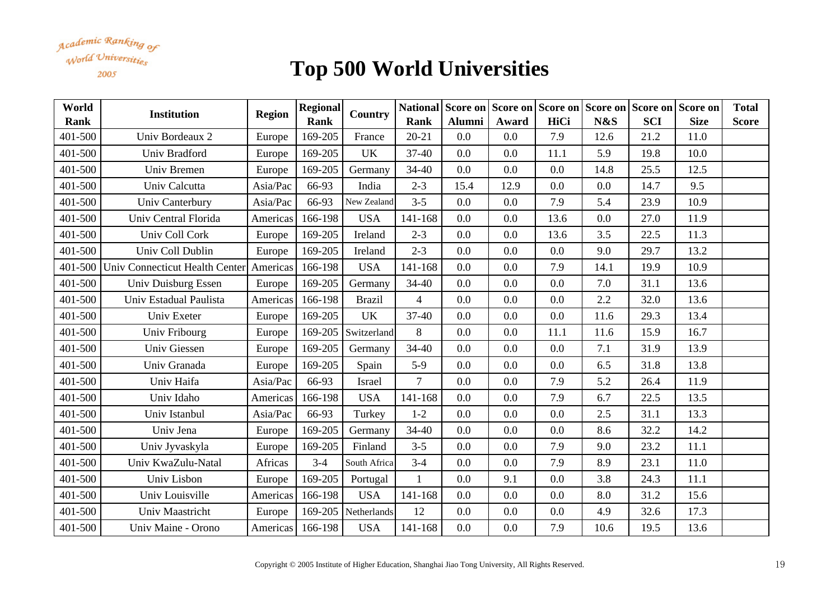Academic Ranking of World Universities 2005

| World<br>Rank | <b>Institution</b>                              | <b>Region</b> | <b>Regional</b><br>Rank | Country       | <b>Rank</b>    | <b>Alumni</b> | Award | National Score on Score on Score on Score on Score on Score on<br>HiCi | N&S  | <b>SCI</b> | <b>Size</b> | <b>Total</b><br><b>Score</b> |
|---------------|-------------------------------------------------|---------------|-------------------------|---------------|----------------|---------------|-------|------------------------------------------------------------------------|------|------------|-------------|------------------------------|
| 401-500       | Univ Bordeaux 2                                 | Europe        | 169-205                 | France        | $20 - 21$      | 0.0           | 0.0   | 7.9                                                                    | 12.6 | 21.2       | 11.0        |                              |
| 401-500       | Univ Bradford                                   | Europe        | 169-205                 | <b>UK</b>     | $37 - 40$      | 0.0           | 0.0   | 11.1                                                                   | 5.9  | 19.8       | 10.0        |                              |
| 401-500       | Univ Bremen                                     | Europe        | 169-205                 | Germany       | $34 - 40$      | 0.0           | 0.0   | 0.0                                                                    | 14.8 | 25.5       | 12.5        |                              |
| 401-500       | Univ Calcutta                                   | Asia/Pac      | 66-93                   | India         | $2 - 3$        | 15.4          | 12.9  | 0.0                                                                    | 0.0  | 14.7       | 9.5         |                              |
| 401-500       | Univ Canterbury                                 | Asia/Pac      | 66-93                   | New Zealand   | $3 - 5$        | 0.0           | 0.0   | 7.9                                                                    | 5.4  | 23.9       | 10.9        |                              |
| 401-500       | Univ Central Florida                            | Americas      | 166-198                 | <b>USA</b>    | 141-168        | 0.0           | 0.0   | 13.6                                                                   | 0.0  | 27.0       | 11.9        |                              |
| 401-500       | Univ Coll Cork                                  | Europe        | 169-205                 | Ireland       | $2 - 3$        | 0.0           | 0.0   | 13.6                                                                   | 3.5  | 22.5       | 11.3        |                              |
| 401-500       | Univ Coll Dublin                                | Europe        | 169-205                 | Ireland       | $2 - 3$        | 0.0           | 0.0   | 0.0                                                                    | 9.0  | 29.7       | 13.2        |                              |
|               | 401-500 Univ Connecticut Health Center Americas |               | 166-198                 | <b>USA</b>    | 141-168        | 0.0           | 0.0   | 7.9                                                                    | 14.1 | 19.9       | 10.9        |                              |
| 401-500       | Univ Duisburg Essen                             | Europe        | 169-205                 | Germany       | $34 - 40$      | 0.0           | 0.0   | 0.0                                                                    | 7.0  | 31.1       | 13.6        |                              |
| 401-500       | Univ Estadual Paulista                          | Americas      | 166-198                 | <b>Brazil</b> | $\overline{4}$ | 0.0           | 0.0   | 0.0                                                                    | 2.2  | 32.0       | 13.6        |                              |
| 401-500       | Univ Exeter                                     | Europe        | 169-205                 | <b>UK</b>     | 37-40          | 0.0           | 0.0   | 0.0                                                                    | 11.6 | 29.3       | 13.4        |                              |
| 401-500       | Univ Fribourg                                   | Europe        | 169-205                 | Switzerland   | 8              | 0.0           | 0.0   | 11.1                                                                   | 11.6 | 15.9       | 16.7        |                              |
| 401-500       | <b>Univ Giessen</b>                             | Europe        | 169-205                 | Germany       | $34 - 40$      | 0.0           | 0.0   | 0.0                                                                    | 7.1  | 31.9       | 13.9        |                              |
| 401-500       | Univ Granada                                    | Europe        | 169-205                 | Spain         | $5-9$          | 0.0           | 0.0   | 0.0                                                                    | 6.5  | 31.8       | 13.8        |                              |
| 401-500       | Univ Haifa                                      | Asia/Pac      | 66-93                   | Israel        | $\overline{7}$ | 0.0           | 0.0   | 7.9                                                                    | 5.2  | 26.4       | 11.9        |                              |
| 401-500       | Univ Idaho                                      | Americas      | 166-198                 | <b>USA</b>    | 141-168        | 0.0           | 0.0   | 7.9                                                                    | 6.7  | 22.5       | 13.5        |                              |
| 401-500       | Univ Istanbul                                   | Asia/Pac      | 66-93                   | Turkey        | $1 - 2$        | 0.0           | 0.0   | 0.0                                                                    | 2.5  | 31.1       | 13.3        |                              |
| 401-500       | Univ Jena                                       | Europe        | 169-205                 | Germany       | 34-40          | 0.0           | 0.0   | 0.0                                                                    | 8.6  | 32.2       | 14.2        |                              |
| 401-500       | Univ Jyvaskyla                                  | Europe        | 169-205                 | Finland       | $3 - 5$        | 0.0           | 0.0   | 7.9                                                                    | 9.0  | 23.2       | 11.1        |                              |
| 401-500       | Univ KwaZulu-Natal                              | Africas       | $3-4$                   | South Africa  | $3-4$          | 0.0           | 0.0   | 7.9                                                                    | 8.9  | 23.1       | 11.0        |                              |
| 401-500       | Univ Lisbon                                     | Europe        | 169-205                 | Portugal      | $\mathbf{1}$   | 0.0           | 9.1   | 0.0                                                                    | 3.8  | 24.3       | 11.1        |                              |
| 401-500       | Univ Louisville                                 | Americas      | 166-198                 | <b>USA</b>    | 141-168        | 0.0           | 0.0   | 0.0                                                                    | 8.0  | 31.2       | 15.6        |                              |
| 401-500       | <b>Univ Maastricht</b>                          | Europe        | 169-205                 | Netherlands   | 12             | 0.0           | 0.0   | 0.0                                                                    | 4.9  | 32.6       | 17.3        |                              |
| 401-500       | Univ Maine - Orono                              | Americas      | 166-198                 | <b>USA</b>    | 141-168        | 0.0           | 0.0   | 7.9                                                                    | 10.6 | 19.5       | 13.6        |                              |